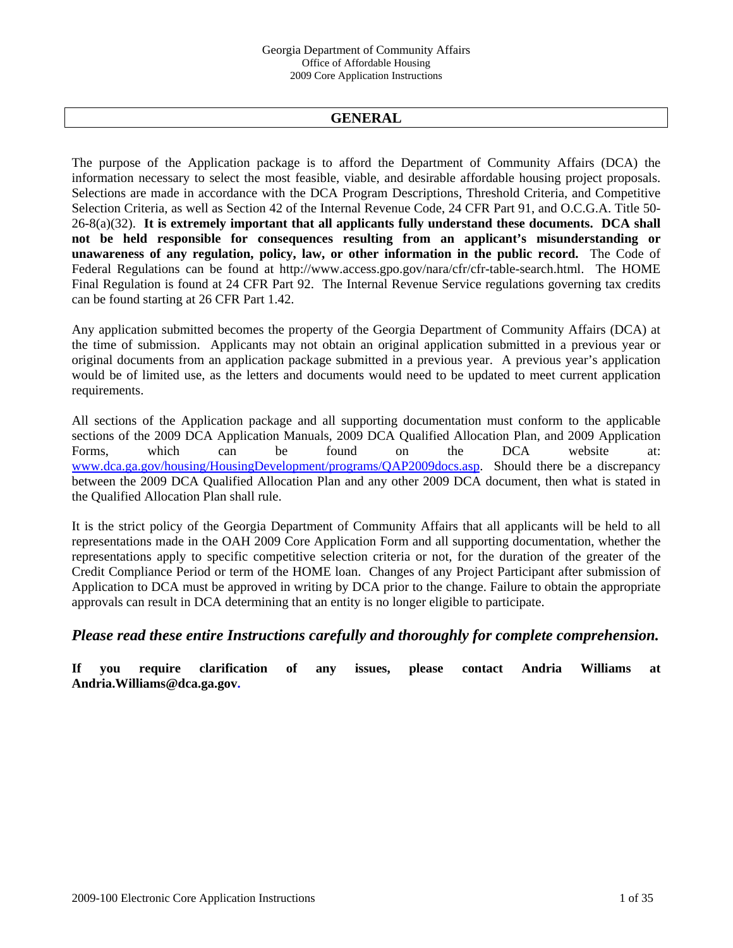# **GENERAL**

The purpose of the Application package is to afford the Department of Community Affairs (DCA) the information necessary to select the most feasible, viable, and desirable affordable housing project proposals. Selections are made in accordance with the DCA Program Descriptions, Threshold Criteria, and Competitive Selection Criteria, as well as Section 42 of the Internal Revenue Code, 24 CFR Part 91, and O.C.G.A. Title 50- 26-8(a)(32). **It is extremely important that all applicants fully understand these documents. DCA shall not be held responsible for consequences resulting from an applicant's misunderstanding or unawareness of any regulation, policy, law, or other information in the public record.** The Code of Federal Regulations can be found at http://www.access.gpo.gov/nara/cfr/cfr-table-search.html. The HOME Final Regulation is found at 24 CFR Part 92. The Internal Revenue Service regulations governing tax credits can be found starting at 26 CFR Part 1.42.

Any application submitted becomes the property of the Georgia Department of Community Affairs (DCA) at the time of submission. Applicants may not obtain an original application submitted in a previous year or original documents from an application package submitted in a previous year. A previous year's application would be of limited use, as the letters and documents would need to be updated to meet current application requirements.

All sections of the Application package and all supporting documentation must conform to the applicable sections of the 2009 DCA Application Manuals, 2009 DCA Qualified Allocation Plan, and 2009 Application Forms, which can be found on the DCA website at: [www.dca.ga.gov/housing/HousingDevelopment/programs/QAP2009docs.asp.](http://www.dca.state.ga.us/housing/HousingDevelopment/programs/QAP2008docs.asp) Should there be a discrepancy between the 2009 DCA Qualified Allocation Plan and any other 2009 DCA document, then what is stated in the Qualified Allocation Plan shall rule.

It is the strict policy of the Georgia Department of Community Affairs that all applicants will be held to all representations made in the OAH 2009 Core Application Form and all supporting documentation, whether the representations apply to specific competitive selection criteria or not, for the duration of the greater of the Credit Compliance Period or term of the HOME loan. Changes of any Project Participant after submission of Application to DCA must be approved in writing by DCA prior to the change. Failure to obtain the appropriate approvals can result in DCA determining that an entity is no longer eligible to participate.

# *Please read these entire Instructions carefully and thoroughly for complete comprehension.*

**If you require clarification of any issues, please contact Andria Williams at Andria.Williams@dca.ga.gov.**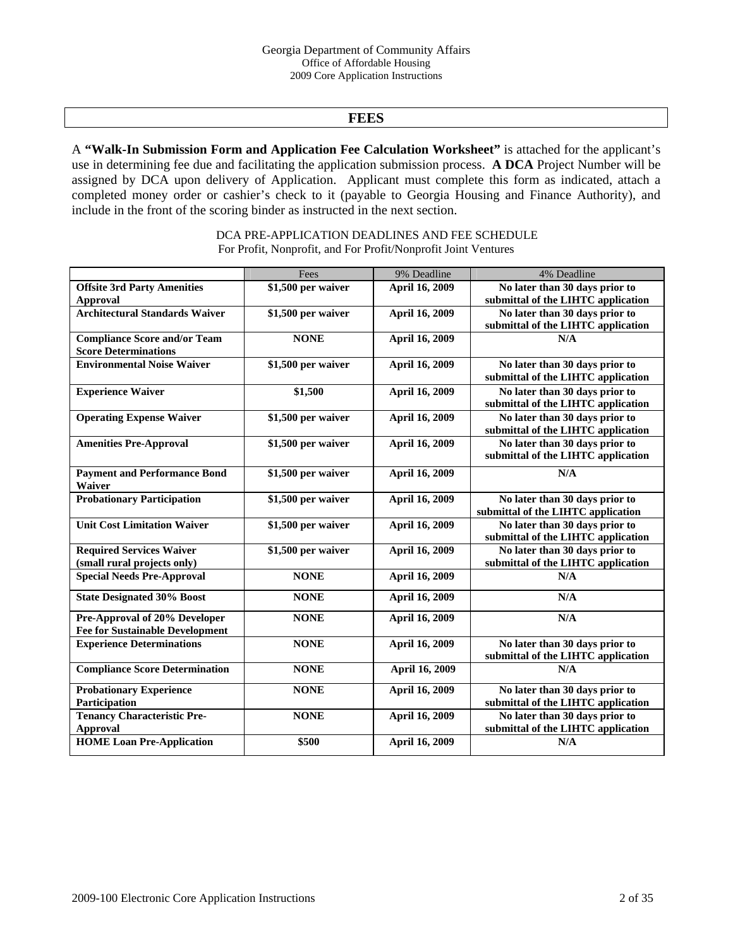# **FEES**

A **"Walk-In Submission Form and Application Fee Calculation Worksheet"** is attached for the applicant's use in determining fee due and facilitating the application submission process. **A DCA** Project Number will be assigned by DCA upon delivery of Application. Applicant must complete this form as indicated, attach a completed money order or cashier's check to it (payable to Georgia Housing and Finance Authority), and include in the front of the scoring binder as instructed in the next section.

> DCA PRE-APPLICATION DEADLINES AND FEE SCHEDULE For Profit, Nonprofit, and For Profit/Nonprofit Joint Ventures

|                                        | Fees               | 9% Deadline    | 4% Deadline                        |
|----------------------------------------|--------------------|----------------|------------------------------------|
| <b>Offsite 3rd Party Amenities</b>     | \$1,500 per waiver | April 16, 2009 | No later than 30 days prior to     |
| <b>Approval</b>                        |                    |                | submittal of the LIHTC application |
| <b>Architectural Standards Waiver</b>  | \$1,500 per waiver | April 16, 2009 | No later than 30 days prior to     |
|                                        |                    |                | submittal of the LIHTC application |
| <b>Compliance Score and/or Team</b>    | <b>NONE</b>        | April 16, 2009 | N/A                                |
| <b>Score Determinations</b>            |                    |                |                                    |
| <b>Environmental Noise Waiver</b>      | \$1,500 per waiver | April 16, 2009 | No later than 30 days prior to     |
|                                        |                    |                | submittal of the LIHTC application |
| <b>Experience Waiver</b>               | \$1,500            | April 16, 2009 | No later than 30 days prior to     |
|                                        |                    |                | submittal of the LIHTC application |
| <b>Operating Expense Waiver</b>        | \$1,500 per waiver | April 16, 2009 | No later than 30 days prior to     |
|                                        |                    |                | submittal of the LIHTC application |
| <b>Amenities Pre-Approval</b>          | \$1,500 per waiver | April 16, 2009 | No later than 30 days prior to     |
|                                        |                    |                | submittal of the LIHTC application |
| <b>Payment and Performance Bond</b>    | \$1,500 per waiver | April 16, 2009 | N/A                                |
| Waiver                                 |                    |                |                                    |
| <b>Probationary Participation</b>      | \$1,500 per waiver | April 16, 2009 | No later than 30 days prior to     |
|                                        |                    |                | submittal of the LIHTC application |
| <b>Unit Cost Limitation Waiver</b>     | \$1,500 per waiver | April 16, 2009 | No later than 30 days prior to     |
|                                        |                    |                | submittal of the LIHTC application |
| <b>Required Services Waiver</b>        | \$1,500 per waiver | April 16, 2009 | No later than 30 days prior to     |
| (small rural projects only)            |                    |                | submittal of the LIHTC application |
| <b>Special Needs Pre-Approval</b>      | <b>NONE</b>        | April 16, 2009 | N/A                                |
| <b>State Designated 30% Boost</b>      | <b>NONE</b>        | April 16, 2009 | N/A                                |
| Pre-Approval of 20% Developer          | <b>NONE</b>        | April 16, 2009 | N/A                                |
| <b>Fee for Sustainable Development</b> |                    |                |                                    |
| <b>Experience Determinations</b>       | <b>NONE</b>        | April 16, 2009 | No later than 30 days prior to     |
|                                        |                    |                | submittal of the LIHTC application |
| <b>Compliance Score Determination</b>  | <b>NONE</b>        | April 16, 2009 | N/A                                |
| <b>Probationary Experience</b>         | <b>NONE</b>        | April 16, 2009 | No later than 30 days prior to     |
| Participation                          |                    |                | submittal of the LIHTC application |
| <b>Tenancy Characteristic Pre-</b>     | <b>NONE</b>        | April 16, 2009 | No later than 30 days prior to     |
| <b>Approval</b>                        |                    |                | submittal of the LIHTC application |
| <b>HOME</b> Loan Pre-Application       | \$500              | April 16, 2009 | N/A                                |
|                                        |                    |                |                                    |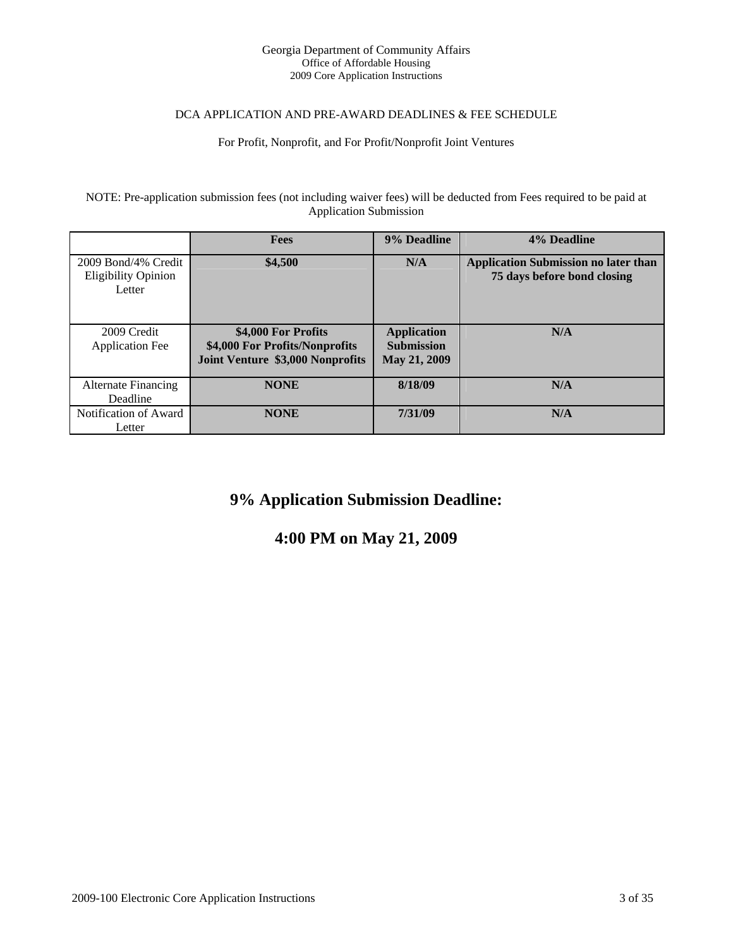#### Georgia Department of Community Affairs Office of Affordable Housing 2009 Core Application Instructions

### DCA APPLICATION AND PRE-AWARD DEADLINES & FEE SCHEDULE

### For Profit, Nonprofit, and For Profit/Nonprofit Joint Ventures

NOTE: Pre-application submission fees (not including waiver fees) will be deducted from Fees required to be paid at Application Submission

|                                                             | <b>Fees</b>                                                                               | 9% Deadline                                                    | 4% Deadline                                                                |
|-------------------------------------------------------------|-------------------------------------------------------------------------------------------|----------------------------------------------------------------|----------------------------------------------------------------------------|
| 2009 Bond/4% Credit<br><b>Eligibility Opinion</b><br>Letter | \$4,500                                                                                   | N/A                                                            | <b>Application Submission no later than</b><br>75 days before bond closing |
| 2009 Credit<br><b>Application Fee</b>                       | \$4,000 For Profits<br>\$4,000 For Profits/Nonprofits<br>Joint Venture \$3,000 Nonprofits | <b>Application</b><br><b>Submission</b><br><b>May 21, 2009</b> | N/A                                                                        |
| Alternate Financing<br>Deadline                             | <b>NONE</b>                                                                               | 8/18/09                                                        | N/A                                                                        |
| Notification of Award<br>Letter                             | <b>NONE</b>                                                                               | 7/31/09                                                        | N/A                                                                        |

# **9% Application Submission Deadline:**

# **4:00 PM on May 21, 2009**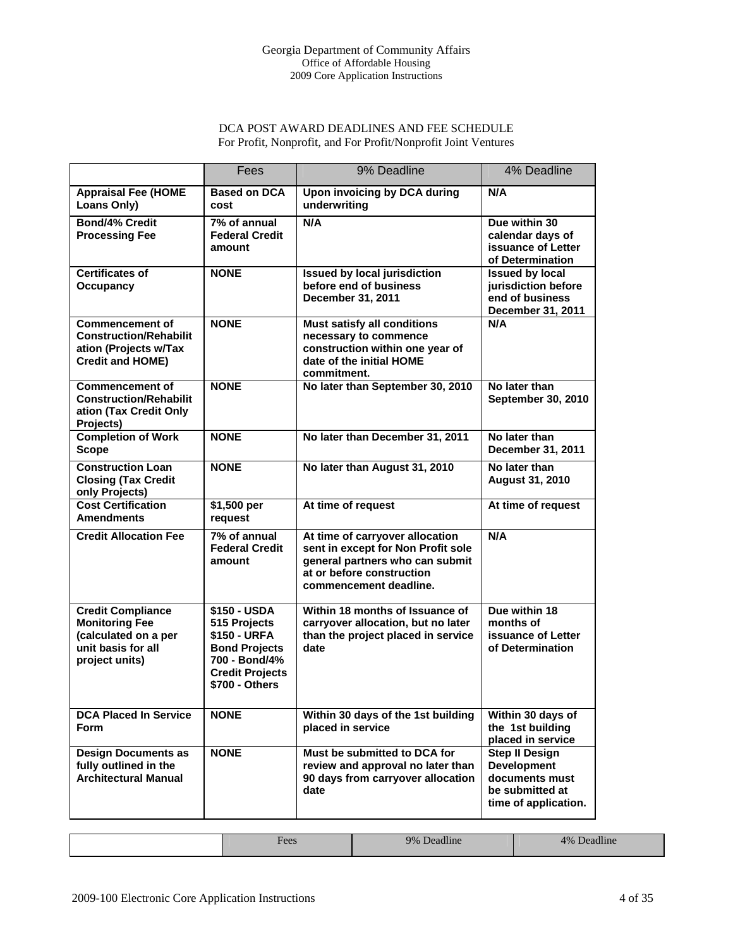# DCA POST AWARD DEADLINES AND FEE SCHEDULE For Profit, Nonprofit, and For Profit/Nonprofit Joint Ventures

|                                                                                                                   | Fees                                                                                                                              | 9% Deadline                                                                                                                                                     | 4% Deadline                                                                                              |
|-------------------------------------------------------------------------------------------------------------------|-----------------------------------------------------------------------------------------------------------------------------------|-----------------------------------------------------------------------------------------------------------------------------------------------------------------|----------------------------------------------------------------------------------------------------------|
| <b>Appraisal Fee (HOME</b><br>Loans Only)                                                                         | <b>Based on DCA</b><br>cost                                                                                                       | <b>Upon invoicing by DCA during</b><br>underwriting                                                                                                             | N/A                                                                                                      |
| <b>Bond/4% Credit</b><br><b>Processing Fee</b>                                                                    | 7% of annual<br><b>Federal Credit</b><br>amount                                                                                   | N/A                                                                                                                                                             | Due within 30<br>calendar days of<br>issuance of Letter<br>of Determination                              |
| <b>Certificates of</b><br>Occupancy                                                                               | <b>NONE</b>                                                                                                                       | <b>Issued by local jurisdiction</b><br>before end of business<br>December 31, 2011                                                                              | <b>Issued by local</b><br>jurisdiction before<br>end of business<br>December 31, 2011                    |
| <b>Commencement of</b><br><b>Construction/Rehabilit</b><br>ation (Projects w/Tax<br><b>Credit and HOME)</b>       | <b>NONE</b>                                                                                                                       | <b>Must satisfy all conditions</b><br>necessary to commence<br>construction within one year of<br>date of the initial HOME<br>commitment.                       | N/A                                                                                                      |
| <b>Commencement of</b><br><b>Construction/Rehabilit</b><br>ation (Tax Credit Only<br>Projects)                    | <b>NONE</b>                                                                                                                       | No later than September 30, 2010                                                                                                                                | No later than<br><b>September 30, 2010</b>                                                               |
| <b>Completion of Work</b><br><b>Scope</b>                                                                         | <b>NONE</b>                                                                                                                       | No later than December 31, 2011                                                                                                                                 | No later than<br>December 31, 2011                                                                       |
| <b>Construction Loan</b><br><b>Closing (Tax Credit</b><br>only Projects)                                          | <b>NONE</b>                                                                                                                       | No later than August 31, 2010                                                                                                                                   | No later than<br><b>August 31, 2010</b>                                                                  |
| <b>Cost Certification</b><br><b>Amendments</b>                                                                    | \$1,500 per<br>request                                                                                                            | At time of request                                                                                                                                              | At time of request                                                                                       |
| <b>Credit Allocation Fee</b>                                                                                      | 7% of annual<br><b>Federal Credit</b><br>amount                                                                                   | At time of carryover allocation<br>sent in except for Non Profit sole<br>general partners who can submit<br>at or before construction<br>commencement deadline. | N/A                                                                                                      |
| <b>Credit Compliance</b><br><b>Monitoring Fee</b><br>(calculated on a per<br>unit basis for all<br>project units) | \$150 - USDA<br>515 Projects<br>\$150 - URFA<br><b>Bond Projects</b><br>700 - Bond/4%<br><b>Credit Projects</b><br>\$700 - Others | Within 18 months of Issuance of<br>carryover allocation, but no later<br>than the project placed in service<br>date                                             | Due within 18<br>months of<br>issuance of Letter<br>of Determination                                     |
| <b>DCA Placed In Service</b><br><b>Form</b>                                                                       | <b>NONE</b>                                                                                                                       | Within 30 days of the 1st building<br>placed in service                                                                                                         | Within 30 days of<br>the 1st building<br>placed in service                                               |
| <b>Design Documents as</b><br>fully outlined in the<br><b>Architectural Manual</b>                                | <b>NONE</b>                                                                                                                       | Must be submitted to DCA for<br>review and approval no later than<br>90 days from carryover allocation<br>date                                                  | <b>Step II Design</b><br><b>Development</b><br>documents must<br>be submitted at<br>time of application. |

|                | <b>Contract</b> |                |
|----------------|-----------------|----------------|
| ۹۵۵ د<br>. UUS | 9%<br>Deadline  | 4%<br>Deadline |
|                |                 |                |
|                |                 |                |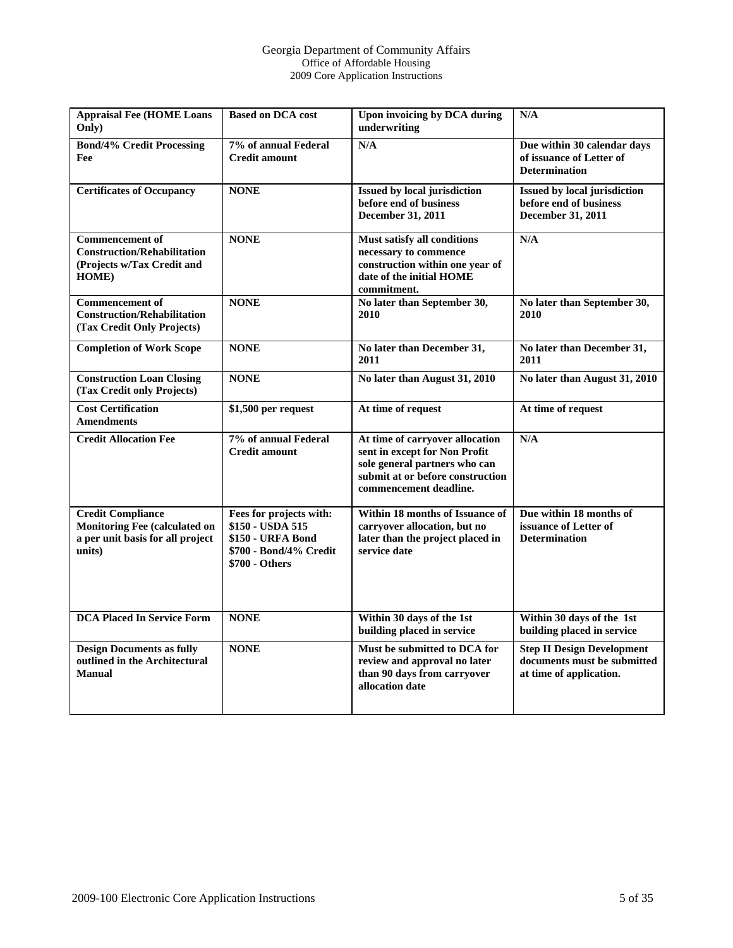#### Georgia Department of Community Affairs Office of Affordable Housing 2009 Core Application Instructions

| <b>Appraisal Fee (HOME Loans</b><br>Only)                                                                      | <b>Based on DCA cost</b>                                                                                     | Upon invoicing by DCA during<br>underwriting                                                                                                                    | N/A                                                                                         |
|----------------------------------------------------------------------------------------------------------------|--------------------------------------------------------------------------------------------------------------|-----------------------------------------------------------------------------------------------------------------------------------------------------------------|---------------------------------------------------------------------------------------------|
| <b>Bond/4% Credit Processing</b><br>Fee                                                                        | 7% of annual Federal<br><b>Credit amount</b>                                                                 | N/A                                                                                                                                                             | Due within 30 calendar days<br>of issuance of Letter of<br><b>Determination</b>             |
| <b>Certificates of Occupancy</b>                                                                               | <b>NONE</b>                                                                                                  | <b>Issued by local jurisdiction</b><br>before end of business<br>December 31, 2011                                                                              | <b>Issued by local jurisdiction</b><br>before end of business<br>December 31, 2011          |
| <b>Commencement</b> of<br><b>Construction/Rehabilitation</b><br>(Projects w/Tax Credit and<br>HOME)            | <b>NONE</b>                                                                                                  | Must satisfy all conditions<br>necessary to commence<br>construction within one year of<br>date of the initial HOME<br>commitment.                              | N/A                                                                                         |
| <b>Commencement</b> of<br><b>Construction/Rehabilitation</b><br>(Tax Credit Only Projects)                     | <b>NONE</b>                                                                                                  | No later than September 30,<br>2010                                                                                                                             | No later than September 30,<br>2010                                                         |
| <b>Completion of Work Scope</b>                                                                                | <b>NONE</b>                                                                                                  | No later than December 31,<br>2011                                                                                                                              | No later than December 31,<br>2011                                                          |
| <b>Construction Loan Closing</b><br>(Tax Credit only Projects)                                                 | <b>NONE</b>                                                                                                  | No later than August 31, 2010                                                                                                                                   | No later than August 31, 2010                                                               |
| <b>Cost Certification</b><br><b>Amendments</b>                                                                 | \$1,500 per request                                                                                          | At time of request                                                                                                                                              | At time of request                                                                          |
| <b>Credit Allocation Fee</b>                                                                                   | 7% of annual Federal<br><b>Credit amount</b>                                                                 | At time of carryover allocation<br>sent in except for Non Profit<br>sole general partners who can<br>submit at or before construction<br>commencement deadline. | N/A                                                                                         |
| <b>Credit Compliance</b><br><b>Monitoring Fee (calculated on</b><br>a per unit basis for all project<br>units) | Fees for projects with:<br>\$150 - USDA 515<br>\$150 - URFA Bond<br>\$700 - Bond/4% Credit<br>\$700 - Others | Within 18 months of Issuance of<br>carryover allocation, but no<br>later than the project placed in<br>service date                                             | Due within 18 months of<br>issuance of Letter of<br><b>Determination</b>                    |
| <b>DCA Placed In Service Form</b>                                                                              | <b>NONE</b>                                                                                                  | Within 30 days of the 1st<br>building placed in service                                                                                                         | Within 30 days of the 1st<br>building placed in service                                     |
| <b>Design Documents as fully</b><br>outlined in the Architectural<br><b>Manual</b>                             | <b>NONE</b>                                                                                                  | Must be submitted to DCA for<br>review and approval no later<br>than 90 days from carryover<br>allocation date                                                  | <b>Step II Design Development</b><br>documents must be submitted<br>at time of application. |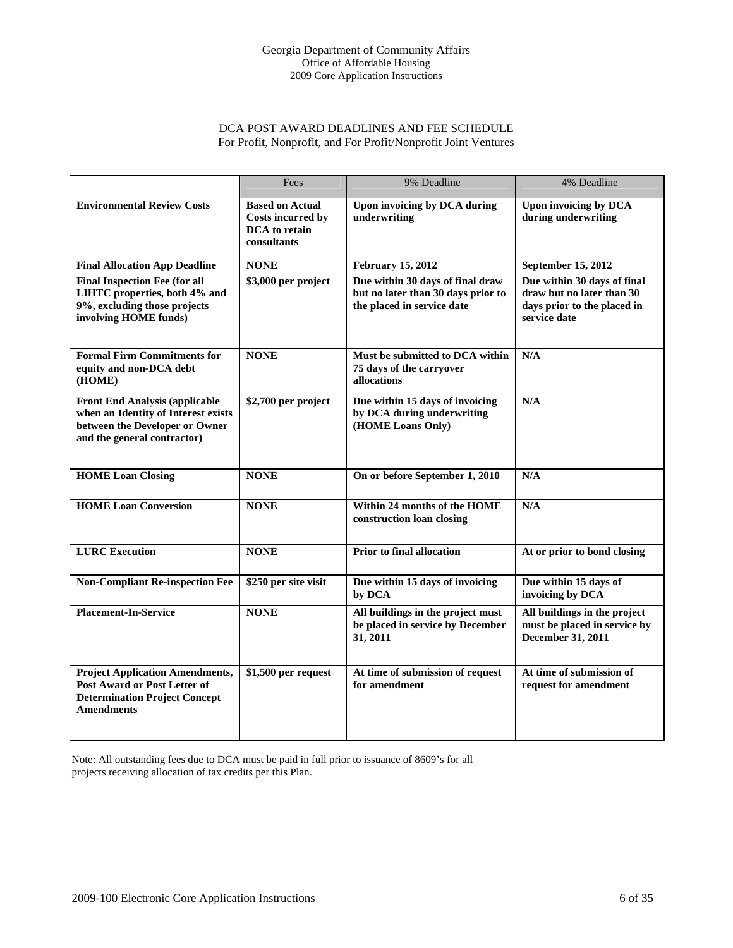# DCA POST AWARD DEADLINES AND FEE SCHEDULE For Profit, Nonprofit, and For Profit/Nonprofit Joint Ventures

|                                                                                                                                               | Fees                                                                        | 9% Deadline                                                                                          | 4% Deadline                                                                                             |
|-----------------------------------------------------------------------------------------------------------------------------------------------|-----------------------------------------------------------------------------|------------------------------------------------------------------------------------------------------|---------------------------------------------------------------------------------------------------------|
| <b>Environmental Review Costs</b>                                                                                                             | <b>Based on Actual</b><br>Costs incurred by<br>DCA to retain<br>consultants | Upon invoicing by DCA during<br>underwriting                                                         | Upon invoicing by DCA<br>during underwriting                                                            |
| <b>Final Allocation App Deadline</b>                                                                                                          | <b>NONE</b>                                                                 | <b>February 15, 2012</b>                                                                             | September 15, 2012                                                                                      |
| <b>Final Inspection Fee (for all</b><br>LIHTC properties, both 4% and<br>9%, excluding those projects<br>involving HOME funds)                | \$3,000 per project                                                         | Due within 30 days of final draw<br>but no later than 30 days prior to<br>the placed in service date | Due within 30 days of final<br>draw but no later than 30<br>days prior to the placed in<br>service date |
| <b>Formal Firm Commitments for</b><br>equity and non-DCA debt<br>(HOME)                                                                       | <b>NONE</b>                                                                 | Must be submitted to DCA within<br>75 days of the carryover<br>allocations                           | N/A                                                                                                     |
| <b>Front End Analysis (applicable</b><br>when an Identity of Interest exists<br>between the Developer or Owner<br>and the general contractor) | \$2,700 per project                                                         | Due within 15 days of invoicing<br>by DCA during underwriting<br>(HOME Loans Only)                   | N/A                                                                                                     |
| <b>HOME Loan Closing</b>                                                                                                                      | <b>NONE</b>                                                                 | On or before September 1, 2010                                                                       | N/A                                                                                                     |
| <b>HOME Loan Conversion</b>                                                                                                                   | <b>NONE</b>                                                                 | Within 24 months of the HOME<br>construction loan closing                                            | N/A                                                                                                     |
| <b>LURC</b> Execution                                                                                                                         | <b>NONE</b>                                                                 | Prior to final allocation                                                                            | At or prior to bond closing                                                                             |
| <b>Non-Compliant Re-inspection Fee</b>                                                                                                        | \$250 per site visit                                                        | Due within 15 days of invoicing<br>by DCA                                                            | Due within 15 days of<br>invoicing by DCA                                                               |
| <b>Placement-In-Service</b>                                                                                                                   | <b>NONE</b>                                                                 | All buildings in the project must<br>be placed in service by December<br>31, 2011                    | All buildings in the project<br>must be placed in service by<br>December 31, 2011                       |
| <b>Project Application Amendments,</b><br><b>Post Award or Post Letter of</b><br><b>Determination Project Concept</b><br><b>Amendments</b>    | \$1,500 per request                                                         | At time of submission of request<br>for amendment                                                    | At time of submission of<br>request for amendment                                                       |

Note: All outstanding fees due to DCA must be paid in full prior to issuance of 8609's for all projects receiving allocation of tax credits per this Plan.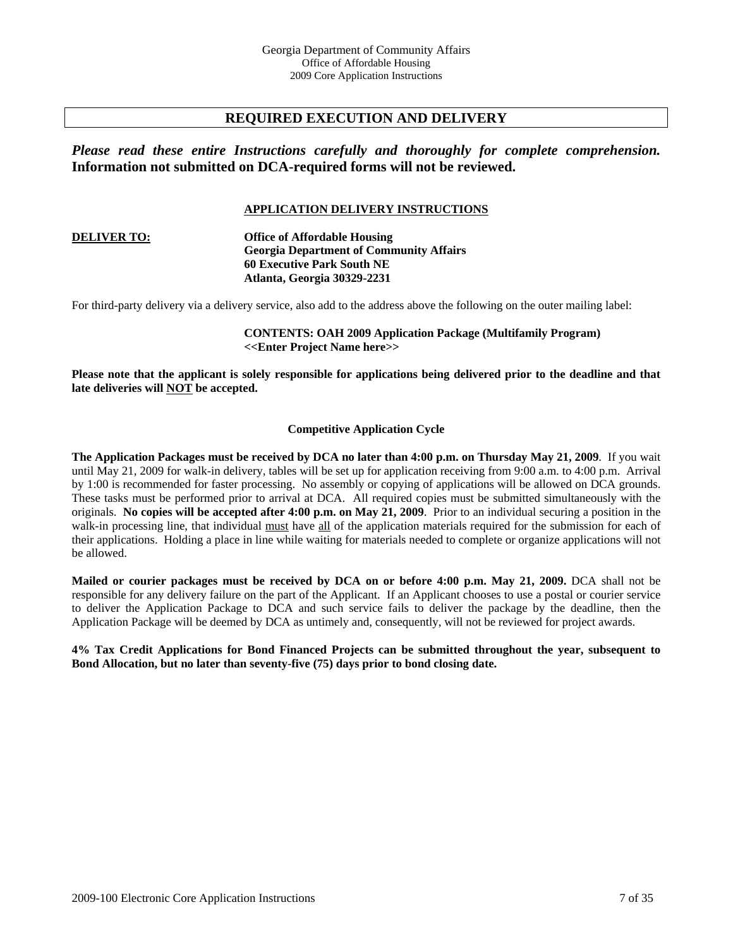# **REQUIRED EXECUTION AND DELIVERY**

*Please read these entire Instructions carefully and thoroughly for complete comprehension.*  **Information not submitted on DCA-required forms will not be reviewed.**

# **APPLICATION DELIVERY INSTRUCTIONS**

#### **DELIVER TO: Office of Affordable Housing Georgia Department of Community Affairs 60 Executive Park South NE Atlanta, Georgia 30329-2231**

For third-party delivery via a delivery service, also add to the address above the following on the outer mailing label:

**CONTENTS: OAH 2009 Application Package (Multifamily Program) <<Enter Project Name here>>** 

**Please note that the applicant is solely responsible for applications being delivered prior to the deadline and that late deliveries will NOT be accepted.** 

#### **Competitive Application Cycle**

**The Application Packages must be received by DCA no later than 4:00 p.m. on Thursday May 21, 2009**. If you wait until May 21, 2009 for walk-in delivery, tables will be set up for application receiving from 9:00 a.m. to 4:00 p.m. Arrival by 1:00 is recommended for faster processing. No assembly or copying of applications will be allowed on DCA grounds. These tasks must be performed prior to arrival at DCA. All required copies must be submitted simultaneously with the originals. **No copies will be accepted after 4:00 p.m. on May 21, 2009**. Prior to an individual securing a position in the walk-in processing line, that individual must have all of the application materials required for the submission for each of their applications. Holding a place in line while waiting for materials needed to complete or organize applications will not be allowed.

**Mailed or courier packages must be received by DCA on or before 4:00 p.m. May 21, 2009.** DCA shall not be responsible for any delivery failure on the part of the Applicant. If an Applicant chooses to use a postal or courier service to deliver the Application Package to DCA and such service fails to deliver the package by the deadline, then the Application Package will be deemed by DCA as untimely and, consequently, will not be reviewed for project awards.

**4% Tax Credit Applications for Bond Financed Projects can be submitted throughout the year, subsequent to Bond Allocation, but no later than seventy-five (75) days prior to bond closing date.**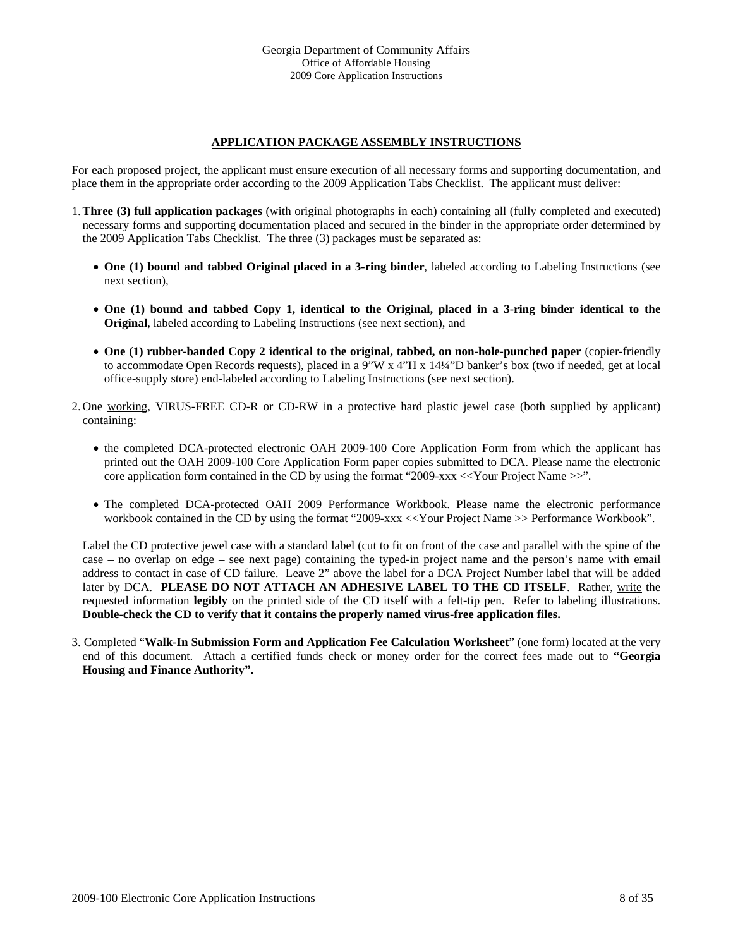# **APPLICATION PACKAGE ASSEMBLY INSTRUCTIONS**

For each proposed project, the applicant must ensure execution of all necessary forms and supporting documentation, and place them in the appropriate order according to the 2009 Application Tabs Checklist. The applicant must deliver:

- 1.**Three (3) full application packages** (with original photographs in each) containing all (fully completed and executed) necessary forms and supporting documentation placed and secured in the binder in the appropriate order determined by the 2009 Application Tabs Checklist. The three (3) packages must be separated as:
	- **One (1) bound and tabbed Original placed in a 3-ring binder**, labeled according to Labeling Instructions (see next section),
	- **One (1) bound and tabbed Copy 1, identical to the Original, placed in a 3-ring binder identical to the Original**, labeled according to Labeling Instructions (see next section), and
	- **One (1) rubber-banded Copy 2 identical to the original, tabbed, on non-hole-punched paper** (copier-friendly to accommodate Open Records requests), placed in a 9"W x 4"H x 14¼"D banker's box (two if needed, get at local office-supply store) end-labeled according to Labeling Instructions (see next section).
- 2. One working, VIRUS-FREE CD-R or CD-RW in a protective hard plastic jewel case (both supplied by applicant) containing:
	- the completed DCA-protected electronic OAH 2009-100 Core Application Form from which the applicant has printed out the OAH 2009-100 Core Application Form paper copies submitted to DCA. Please name the electronic core application form contained in the CD by using the format "2009-xxx <<Your Project Name >>".
	- The completed DCA-protected OAH 2009 Performance Workbook. Please name the electronic performance workbook contained in the CD by using the format "2009-xxx <<Your Project Name >> Performance Workbook".

Label the CD protective jewel case with a standard label (cut to fit on front of the case and parallel with the spine of the case – no overlap on edge – see next page) containing the typed-in project name and the person's name with email address to contact in case of CD failure. Leave 2" above the label for a DCA Project Number label that will be added later by DCA. **PLEASE DO NOT ATTACH AN ADHESIVE LABEL TO THE CD ITSELF**. Rather, write the requested information **legibly** on the printed side of the CD itself with a felt-tip pen. Refer to labeling illustrations. **Double-check the CD to verify that it contains the properly named virus-free application files.**

3. Completed "**Walk-In Submission Form and Application Fee Calculation Worksheet**" (one form) located at the very end of this document. Attach a certified funds check or money order for the correct fees made out to **"Georgia Housing and Finance Authority".**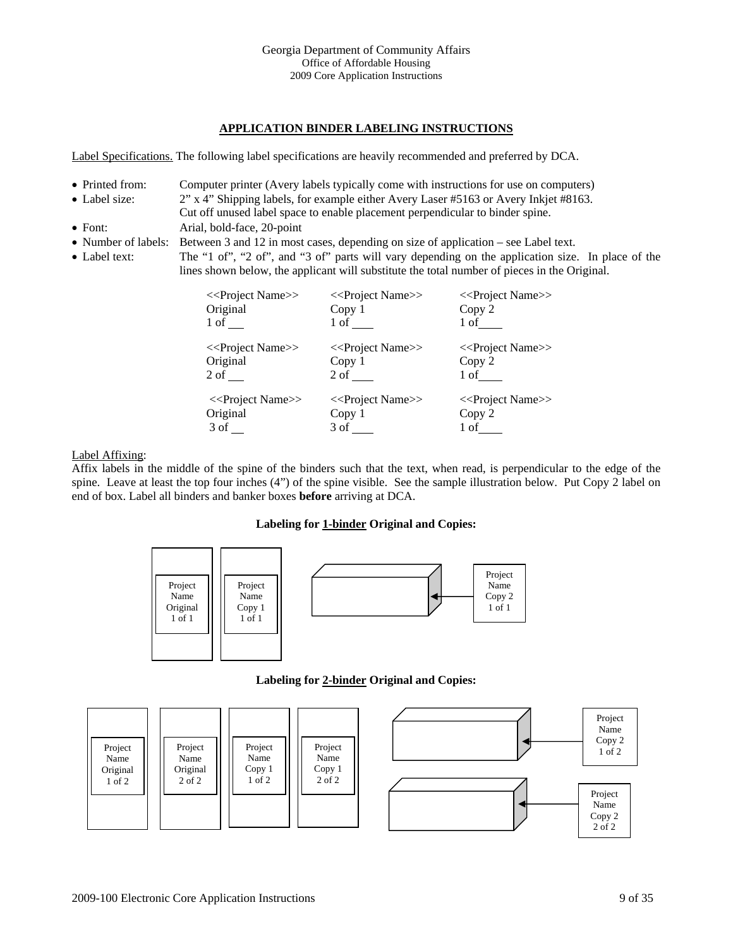# **APPLICATION BINDER LABELING INSTRUCTIONS**

Label Specifications. The following label specifications are heavily recommended and preferred by DCA.

- Printed from: Computer printer (Avery labels typically come with instructions for use on computers)
- Label size: 2" x 4" Shipping labels, for example either Avery Laser #5163 or Avery Inkjet #8163.
- Cut off unused label space to enable placement perpendicular to binder spine. • Font: Arial, bold-face, 20-point
- Number of labels: Between 3 and 12 in most cases, depending on size of application see Label text.
- Label text: The "1 of", "2 of", and "3 of" parts will vary depending on the application size. In place of the lines shown below, the applicant will substitute the total number of pieces in the Original.



# Label Affixing:

Affix labels in the middle of the spine of the binders such that the text, when read, is perpendicular to the edge of the spine. Leave at least the top four inches (4") of the spine visible. See the sample illustration below. Put Copy 2 label on end of box. Label all binders and banker boxes **before** arriving at DCA.

# **Labeling for 1-binder Original and Copies:**



# **Labeling for 2-binder Original and Copies:**

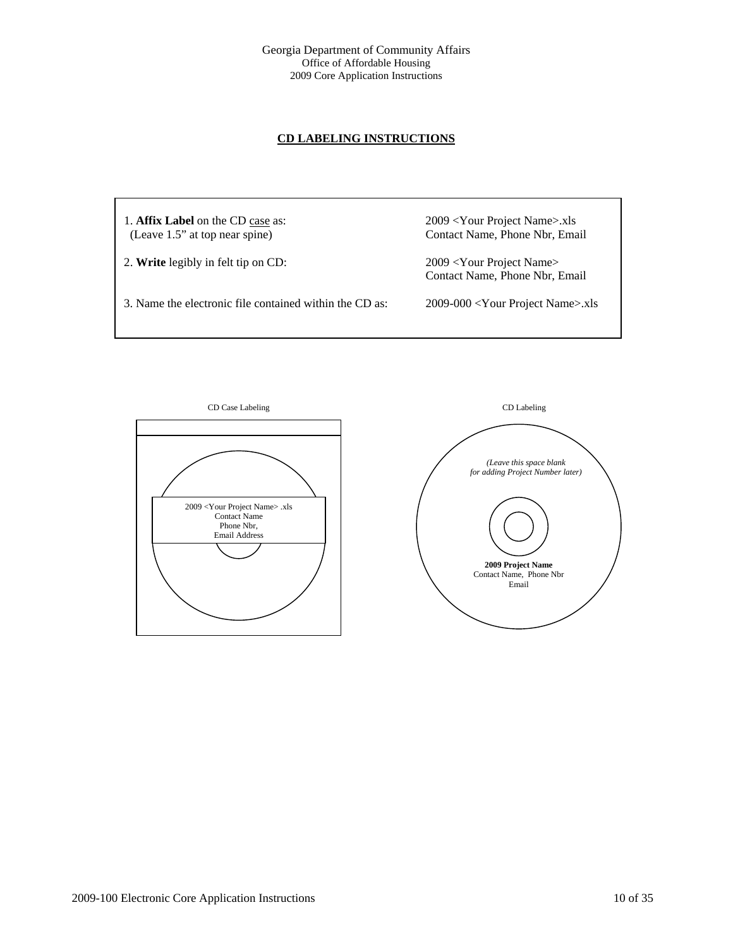# **CD LABELING INSTRUCTIONS**

1. **Affix Label** on the CD case as: 2009 <Your Project Name>.xls (Leave 1.5" at top near spine) Contact Name, Phone Nbr, Email 2. **Write** legibly in felt tip on CD: 2009 <Your Project Name> Contact Name, Phone Nbr, Email 3. Name the electronic file contained within the CD as: 2009-000 <Your Project Name>.xls



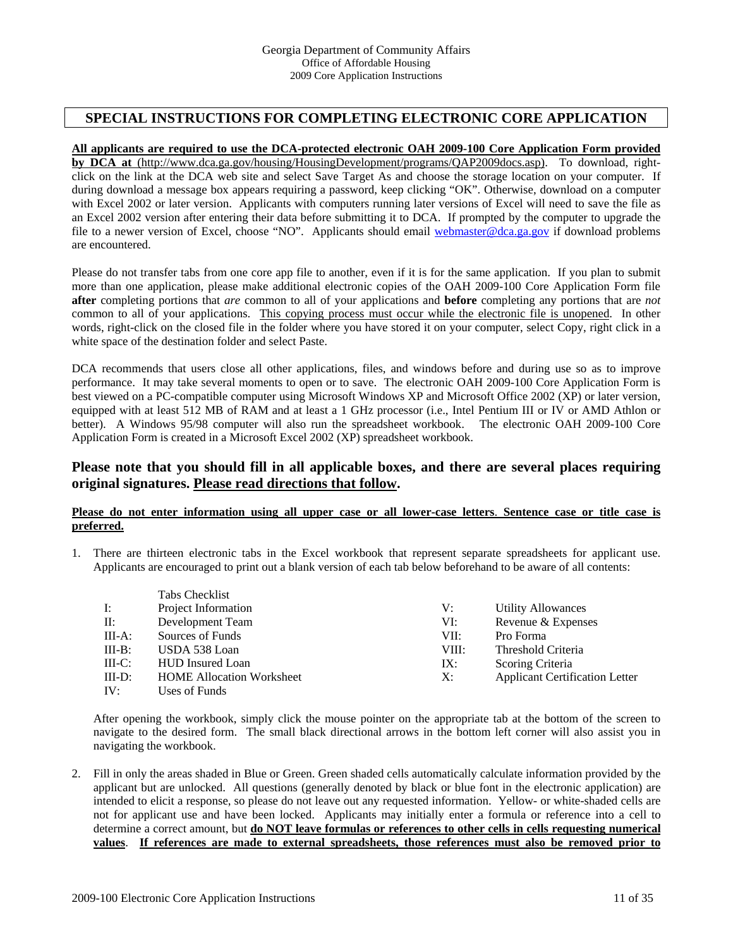# **SPECIAL INSTRUCTIONS FOR COMPLETING ELECTRONIC CORE APPLICATION**

### **All applicants are required to use the DCA-protected electronic OAH 2009-100 Core Application Form provided**

**by DCA at** (http://www.dca.ga.gov/housing/HousingDevelopment/programs/QAP2009docs.asp). To download, rightclick on the link at the DCA web site and select Save Target As and choose the storage location on your computer. If during download a message box appears requiring a password, keep clicking "OK". Otherwise, download on a computer with Excel 2002 or later version. Applicants with computers running later versions of Excel will need to save the file as an Excel 2002 version after entering their data before submitting it to DCA. If prompted by the computer to upgrade the file to a newer version of Excel, choose "NO". Applicants should email [webmaster@dca.ga.gov](mailto:webmaster@dca.state.ga.us) if download problems are encountered.

Please do not transfer tabs from one core app file to another, even if it is for the same application. If you plan to submit more than one application, please make additional electronic copies of the OAH 2009-100 Core Application Form file **after** completing portions that *are* common to all of your applications and **before** completing any portions that are *not* common to all of your applications. This copying process must occur while the electronic file is unopened. In other words, right-click on the closed file in the folder where you have stored it on your computer, select Copy, right click in a white space of the destination folder and select Paste.

DCA recommends that users close all other applications, files, and windows before and during use so as to improve performance. It may take several moments to open or to save. The electronic OAH 2009-100 Core Application Form is best viewed on a PC-compatible computer using Microsoft Windows XP and Microsoft Office 2002 (XP) or later version, equipped with at least 512 MB of RAM and at least a 1 GHz processor (i.e., Intel Pentium III or IV or AMD Athlon or better). A Windows 95/98 computer will also run the spreadsheet workbook. The electronic OAH 2009-100 Core Application Form is created in a Microsoft Excel 2002 (XP) spreadsheet workbook.

# **Please note that you should fill in all applicable boxes, and there are several places requiring original signatures. Please read directions that follow.**

#### **Please do not enter information using all upper case or all lower-case letters**. **Sentence case or title case is preferred.**

1. There are thirteen electronic tabs in the Excel workbook that represent separate spreadsheets for applicant use. Applicants are encouraged to print out a blank version of each tab below beforehand to be aware of all contents:

|           | Tabs Checklist                   |       |                                       |
|-----------|----------------------------------|-------|---------------------------------------|
| I:        | Project Information              | V:    | <b>Utility Allowances</b>             |
| $\prod$ : | Development Team                 | VI:   | Revenue & Expenses                    |
| $III-A$ : | Sources of Funds                 | VII:  | Pro Forma                             |
| $III-B:$  | USDA 538 Loan                    | VIII: | Threshold Criteria                    |
| $III-C:$  | <b>HUD</b> Insured Loan          | IX:   | Scoring Criteria                      |
| $III-D$ : | <b>HOME Allocation Worksheet</b> | X:    | <b>Applicant Certification Letter</b> |
| IV:       | Uses of Funds                    |       |                                       |

After opening the workbook, simply click the mouse pointer on the appropriate tab at the bottom of the screen to navigate to the desired form. The small black directional arrows in the bottom left corner will also assist you in navigating the workbook.

2. Fill in only the areas shaded in Blue or Green. Green shaded cells automatically calculate information provided by the applicant but are unlocked. All questions (generally denoted by black or blue font in the electronic application) are intended to elicit a response, so please do not leave out any requested information. Yellow- or white-shaded cells are not for applicant use and have been locked. Applicants may initially enter a formula or reference into a cell to determine a correct amount, but **do NOT leave formulas or references to other cells in cells requesting numerical values**. **If references are made to external spreadsheets, those references must also be removed prior to**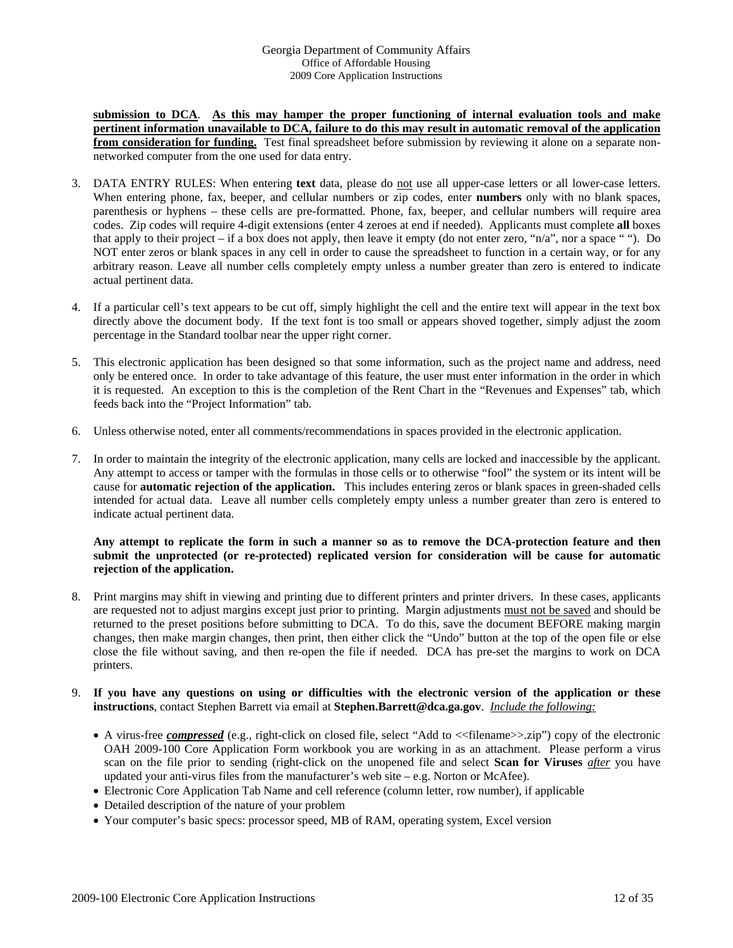**submission to DCA**. **As this may hamper the proper functioning of internal evaluation tools and make pertinent information unavailable to DCA, failure to do this may result in automatic removal of the application from consideration for funding.** Test final spreadsheet before submission by reviewing it alone on a separate nonnetworked computer from the one used for data entry.

- 3. DATA ENTRY RULES: When entering **text** data, please do not use all upper-case letters or all lower-case letters. When entering phone, fax, beeper, and cellular numbers or zip codes, enter **numbers** only with no blank spaces, parenthesis or hyphens – these cells are pre-formatted. Phone, fax, beeper, and cellular numbers will require area codes. Zip codes will require 4-digit extensions (enter 4 zeroes at end if needed). Applicants must complete **all** boxes that apply to their project – if a box does not apply, then leave it empty (do not enter zero, " $n/a$ ", nor a space ""). Do NOT enter zeros or blank spaces in any cell in order to cause the spreadsheet to function in a certain way, or for any arbitrary reason. Leave all number cells completely empty unless a number greater than zero is entered to indicate actual pertinent data.
- 4. If a particular cell's text appears to be cut off, simply highlight the cell and the entire text will appear in the text box directly above the document body. If the text font is too small or appears shoved together, simply adjust the zoom percentage in the Standard toolbar near the upper right corner.
- 5. This electronic application has been designed so that some information, such as the project name and address, need only be entered once. In order to take advantage of this feature, the user must enter information in the order in which it is requested. An exception to this is the completion of the Rent Chart in the "Revenues and Expenses" tab, which feeds back into the "Project Information" tab.
- 6. Unless otherwise noted, enter all comments/recommendations in spaces provided in the electronic application.
- 7. In order to maintain the integrity of the electronic application, many cells are locked and inaccessible by the applicant. Any attempt to access or tamper with the formulas in those cells or to otherwise "fool" the system or its intent will be cause for **automatic rejection of the application.** This includes entering zeros or blank spaces in green-shaded cells intended for actual data. Leave all number cells completely empty unless a number greater than zero is entered to indicate actual pertinent data.

### **Any attempt to replicate the form in such a manner so as to remove the DCA-protection feature and then submit the unprotected (or re-protected) replicated version for consideration will be cause for automatic rejection of the application.**

8. Print margins may shift in viewing and printing due to different printers and printer drivers. In these cases, applicants are requested not to adjust margins except just prior to printing. Margin adjustments must not be saved and should be returned to the preset positions before submitting to DCA. To do this, save the document BEFORE making margin changes, then make margin changes, then print, then either click the "Undo" button at the top of the open file or else close the file without saving, and then re-open the file if needed. DCA has pre-set the margins to work on DCA printers.

## 9. **If you have any questions on using or difficulties with the electronic version of the application or these instructions**, contact Stephen Barrett via email at **Stephen.Barrett@dca.ga.gov**. *Include the following:*

- A virus-free *compressed* (e.g., right-click on closed file, select "Add to <<filename>>.zip") copy of the electronic OAH 2009-100 Core Application Form workbook you are working in as an attachment. Please perform a virus scan on the file prior to sending (right-click on the unopened file and select **Scan for Viruses** *after* you have updated your anti-virus files from the manufacturer's web site – e.g. Norton or McAfee).
- Electronic Core Application Tab Name and cell reference (column letter, row number), if applicable
- Detailed description of the nature of your problem
- Your computer's basic specs: processor speed, MB of RAM, operating system, Excel version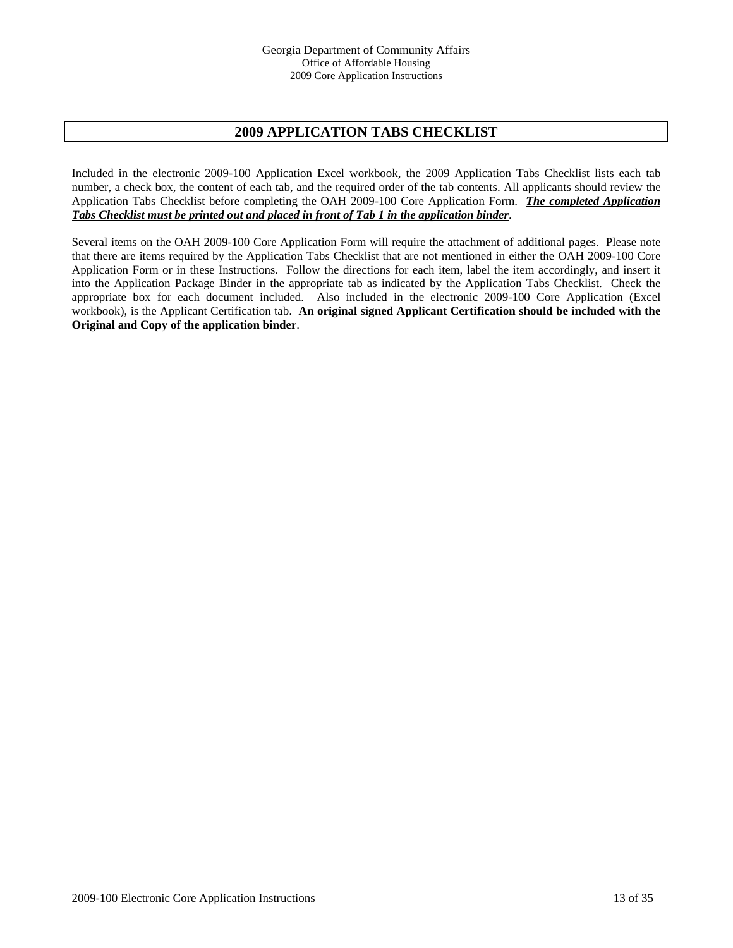# **2009 APPLICATION TABS CHECKLIST**

Included in the electronic 2009-100 Application Excel workbook, the 2009 Application Tabs Checklist lists each tab number, a check box, the content of each tab, and the required order of the tab contents. All applicants should review the Application Tabs Checklist before completing the OAH 2009-100 Core Application Form. *The completed Application Tabs Checklist must be printed out and placed in front of Tab 1 in the application binder*.

Several items on the OAH 2009-100 Core Application Form will require the attachment of additional pages. Please note that there are items required by the Application Tabs Checklist that are not mentioned in either the OAH 2009-100 Core Application Form or in these Instructions. Follow the directions for each item, label the item accordingly, and insert it into the Application Package Binder in the appropriate tab as indicated by the Application Tabs Checklist. Check the appropriate box for each document included. Also included in the electronic 2009-100 Core Application (Excel workbook), is the Applicant Certification tab. **An original signed Applicant Certification should be included with the Original and Copy of the application binder**.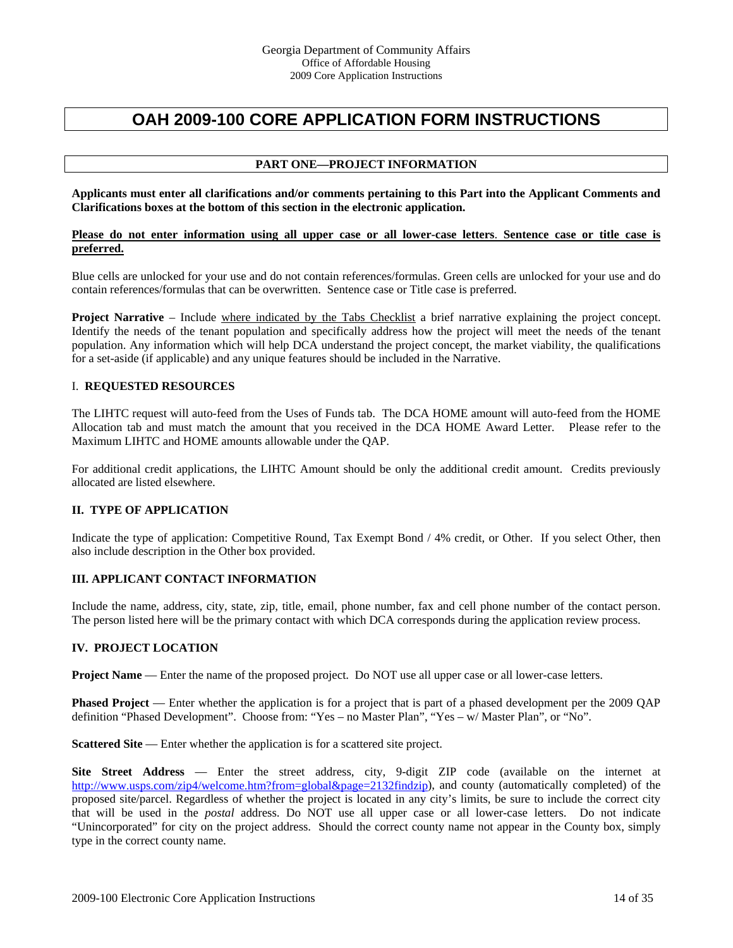# **OAH 2009-100 CORE APPLICATION FORM INSTRUCTIONS**

# **PART ONE—PROJECT INFORMATION**

**Applicants must enter all clarifications and/or comments pertaining to this Part into the Applicant Comments and Clarifications boxes at the bottom of this section in the electronic application.** 

#### **Please do not enter information using all upper case or all lower-case letters**. **Sentence case or title case is preferred.**

Blue cells are unlocked for your use and do not contain references/formulas. Green cells are unlocked for your use and do contain references/formulas that can be overwritten. Sentence case or Title case is preferred.

**Project Narrative** – Include where indicated by the Tabs Checklist a brief narrative explaining the project concept. Identify the needs of the tenant population and specifically address how the project will meet the needs of the tenant population. Any information which will help DCA understand the project concept, the market viability, the qualifications for a set-aside (if applicable) and any unique features should be included in the Narrative.

#### I. **REQUESTED RESOURCES**

The LIHTC request will auto-feed from the Uses of Funds tab. The DCA HOME amount will auto-feed from the HOME Allocation tab and must match the amount that you received in the DCA HOME Award Letter. Please refer to the Maximum LIHTC and HOME amounts allowable under the QAP.

For additional credit applications, the LIHTC Amount should be only the additional credit amount. Credits previously allocated are listed elsewhere.

# **II. TYPE OF APPLICATION**

Indicate the type of application: Competitive Round, Tax Exempt Bond / 4% credit, or Other. If you select Other, then also include description in the Other box provided.

# **III. APPLICANT CONTACT INFORMATION**

Include the name, address, city, state, zip, title, email, phone number, fax and cell phone number of the contact person. The person listed here will be the primary contact with which DCA corresponds during the application review process.

#### **IV. PROJECT LOCATION**

**Project Name** — Enter the name of the proposed project. Do NOT use all upper case or all lower-case letters.

**Phased Project** — Enter whether the application is for a project that is part of a phased development per the 2009 QAP definition "Phased Development". Choose from: "Yes – no Master Plan", "Yes – w/ Master Plan", or "No".

**Scattered Site** — Enter whether the application is for a scattered site project.

**Site Street Address** — Enter the street address, city, 9-digit ZIP code (available on the internet at [http://www.usps.com/zip4/welcome.htm?from=global&page=2132findzip\)](http://www.usps.com/zip4/welcome.htm?from=global&page=2132findzip), and county (automatically completed) of the proposed site/parcel. Regardless of whether the project is located in any city's limits, be sure to include the correct city that will be used in the *postal* address. Do NOT use all upper case or all lower-case letters. Do not indicate "Unincorporated" for city on the project address. Should the correct county name not appear in the County box, simply type in the correct county name.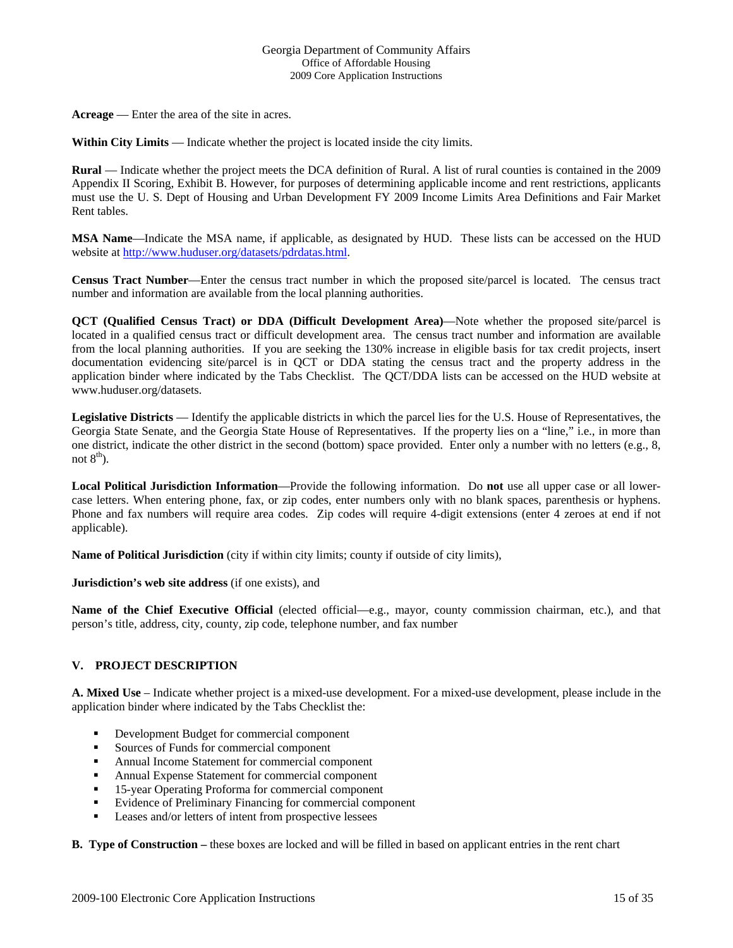**Acreage** — Enter the area of the site in acres.

**Within City Limits** — Indicate whether the project is located inside the city limits.

**Rural** — Indicate whether the project meets the DCA definition of Rural. A list of rural counties is contained in the 2009 Appendix II Scoring, Exhibit B. However, for purposes of determining applicable income and rent restrictions, applicants must use the U. S. Dept of Housing and Urban Development FY 2009 Income Limits Area Definitions and Fair Market Rent tables.

**MSA Name**—Indicate the MSA name, if applicable, as designated by HUD. These lists can be accessed on the HUD website at <http://www.huduser.org/datasets/pdrdatas.html>.

**Census Tract Number**—Enter the census tract number in which the proposed site/parcel is located. The census tract number and information are available from the local planning authorities.

**QCT (Qualified Census Tract) or DDA (Difficult Development Area)**—Note whether the proposed site/parcel is located in a qualified census tract or difficult development area. The census tract number and information are available from the local planning authorities. If you are seeking the 130% increase in eligible basis for tax credit projects, insert documentation evidencing site/parcel is in QCT or DDA stating the census tract and the property address in the application binder where indicated by the Tabs Checklist. The QCT/DDA lists can be accessed on the HUD website at www.huduser.org/datasets.

**Legislative Districts** — Identify the applicable districts in which the parcel lies for the U.S. House of Representatives, the Georgia State Senate, and the Georgia State House of Representatives. If the property lies on a "line," i.e., in more than one district, indicate the other district in the second (bottom) space provided. Enter only a number with no letters (e.g., 8, not  $8<sup>th</sup>$ ).

**Local Political Jurisdiction Information**—Provide the following information. Do **not** use all upper case or all lowercase letters. When entering phone, fax, or zip codes, enter numbers only with no blank spaces, parenthesis or hyphens. Phone and fax numbers will require area codes. Zip codes will require 4-digit extensions (enter 4 zeroes at end if not applicable).

**Name of Political Jurisdiction** (city if within city limits; county if outside of city limits),

**Jurisdiction's web site address** (if one exists), and

**Name of the Chief Executive Official** (elected official—e.g., mayor, county commission chairman, etc.), and that person's title, address, city, county, zip code, telephone number, and fax number

# **V. PROJECT DESCRIPTION**

**A. Mixed Use** – Indicate whether project is a mixed-use development. For a mixed-use development, please include in the application binder where indicated by the Tabs Checklist the:

- **•** Development Budget for commercial component
- Sources of Funds for commercial component
- Annual Income Statement for commercial component
- Annual Expense Statement for commercial component
- **15-year Operating Proforma for commercial component**
- Evidence of Preliminary Financing for commercial component
- **Leases and/or letters of intent from prospective lessees**

**B. Type of Construction –** these boxes are locked and will be filled in based on applicant entries in the rent chart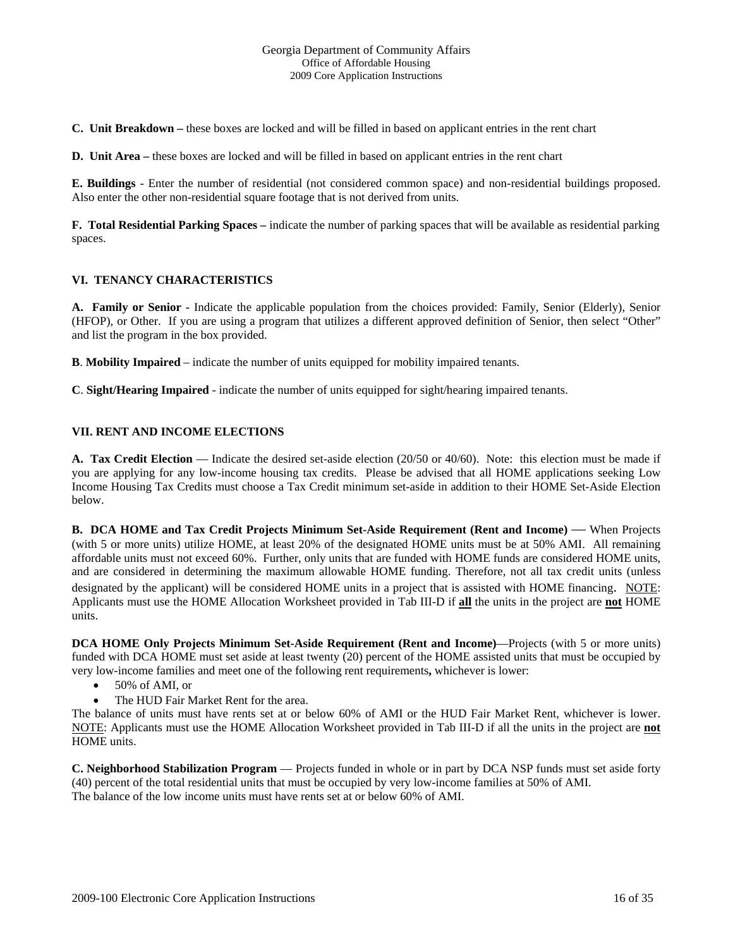**C. Unit Breakdown –** these boxes are locked and will be filled in based on applicant entries in the rent chart

**D.** Unit Area – these boxes are locked and will be filled in based on applicant entries in the rent chart

**E. Buildings** - Enter the number of residential (not considered common space) and non-residential buildings proposed. Also enter the other non-residential square footage that is not derived from units.

**F. Total Residential Parking Spaces –** indicate the number of parking spaces that will be available as residential parking spaces.

# **VI. TENANCY CHARACTERISTICS**

**A. Family or Senior -** Indicate the applicable population from the choices provided: Family, Senior (Elderly), Senior (HFOP), or Other. If you are using a program that utilizes a different approved definition of Senior, then select "Other" and list the program in the box provided.

**B**. **Mobility Impaired** – indicate the number of units equipped for mobility impaired tenants.

**C**. **Sight/Hearing Impaired** - indicate the number of units equipped for sight/hearing impaired tenants.

# **VII. RENT AND INCOME ELECTIONS**

**A. Tax Credit Election** — Indicate the desired set-aside election (20/50 or 40/60). Note: this election must be made if you are applying for any low-income housing tax credits. Please be advised that all HOME applications seeking Low Income Housing Tax Credits must choose a Tax Credit minimum set-aside in addition to their HOME Set-Aside Election below.

**B. DCA HOME and Tax Credit Projects Minimum Set-Aside Requirement (Rent and Income) — When Projects** (with 5 or more units) utilize HOME, at least 20% of the designated HOME units must be at 50% AMI. All remaining affordable units must not exceed 60%. Further, only units that are funded with HOME funds are considered HOME units, and are considered in determining the maximum allowable HOME funding. Therefore, not all tax credit units (unless designated by the applicant) will be considered HOME units in a project that is assisted with HOME financing. NOTE: Applicants must use the HOME Allocation Worksheet provided in Tab III-D if **all** the units in the project are **not** HOME units.

**DCA HOME Only Projects Minimum Set-Aside Requirement (Rent and Income)**—Projects (with 5 or more units) funded with DCA HOME must set aside at least twenty (20) percent of the HOME assisted units that must be occupied by very low-income families and meet one of the following rent requirements**,** whichever is lower:

- 50% of AMI, or
- The HUD Fair Market Rent for the area.

The balance of units must have rents set at or below 60% of AMI or the HUD Fair Market Rent, whichever is lower. NOTE: Applicants must use the HOME Allocation Worksheet provided in Tab III-D if all the units in the project are **not** HOME units.

**C. Neighborhood Stabilization Program** — Projects funded in whole or in part by DCA NSP funds must set aside forty (40) percent of the total residential units that must be occupied by very low-income families at 50% of AMI. The balance of the low income units must have rents set at or below 60% of AMI.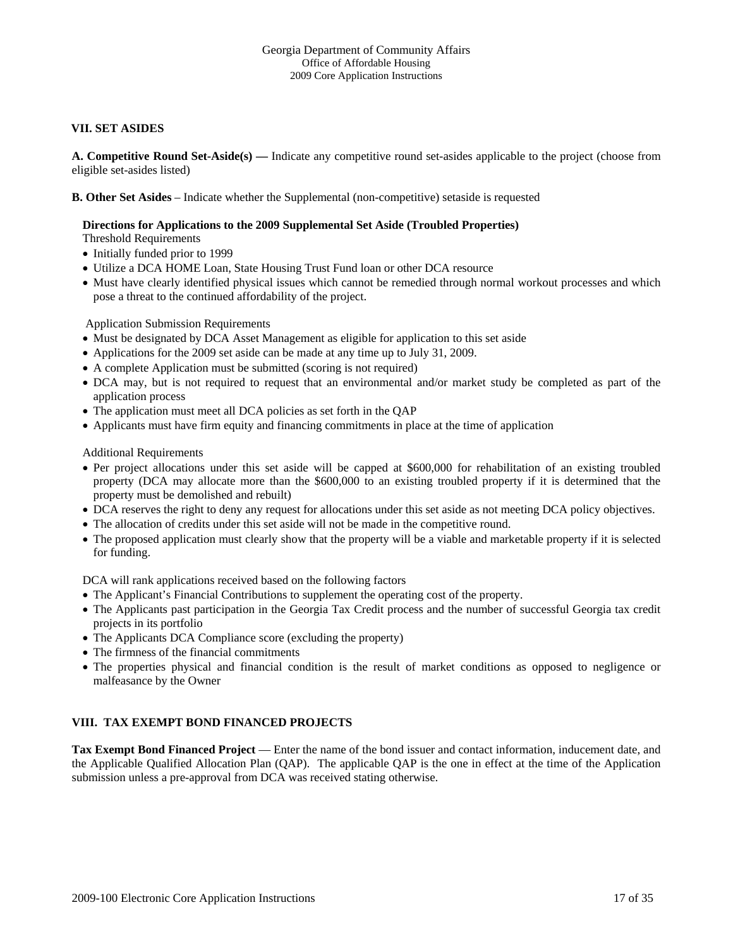# **VII. SET ASIDES**

**A. Competitive Round Set-Aside(s) —** Indicate any competitive round set-asides applicable to the project (choose from eligible set-asides listed)

**B. Other Set Asides** – Indicate whether the Supplemental (non-competitive) setaside is requested

# **Directions for Applications to the 2009 Supplemental Set Aside (Troubled Properties)**

Threshold Requirements

- Initially funded prior to 1999
- Utilize a DCA HOME Loan, State Housing Trust Fund loan or other DCA resource
- Must have clearly identified physical issues which cannot be remedied through normal workout processes and which pose a threat to the continued affordability of the project.

Application Submission Requirements

- Must be designated by DCA Asset Management as eligible for application to this set aside
- Applications for the 2009 set aside can be made at any time up to July 31, 2009.
- A complete Application must be submitted (scoring is not required)
- DCA may, but is not required to request that an environmental and/or market study be completed as part of the application process
- The application must meet all DCA policies as set forth in the QAP
- Applicants must have firm equity and financing commitments in place at the time of application

Additional Requirements

- Per project allocations under this set aside will be capped at \$600,000 for rehabilitation of an existing troubled property (DCA may allocate more than the \$600,000 to an existing troubled property if it is determined that the property must be demolished and rebuilt)
- DCA reserves the right to deny any request for allocations under this set aside as not meeting DCA policy objectives.
- The allocation of credits under this set aside will not be made in the competitive round.
- The proposed application must clearly show that the property will be a viable and marketable property if it is selected for funding.

DCA will rank applications received based on the following factors

- The Applicant's Financial Contributions to supplement the operating cost of the property.
- The Applicants past participation in the Georgia Tax Credit process and the number of successful Georgia tax credit projects in its portfolio
- The Applicants DCA Compliance score (excluding the property)
- The firmness of the financial commitments
- The properties physical and financial condition is the result of market conditions as opposed to negligence or malfeasance by the Owner

# **VIII. TAX EXEMPT BOND FINANCED PROJECTS**

**Tax Exempt Bond Financed Project** — Enter the name of the bond issuer and contact information, inducement date, and the Applicable Qualified Allocation Plan (QAP). The applicable QAP is the one in effect at the time of the Application submission unless a pre-approval from DCA was received stating otherwise.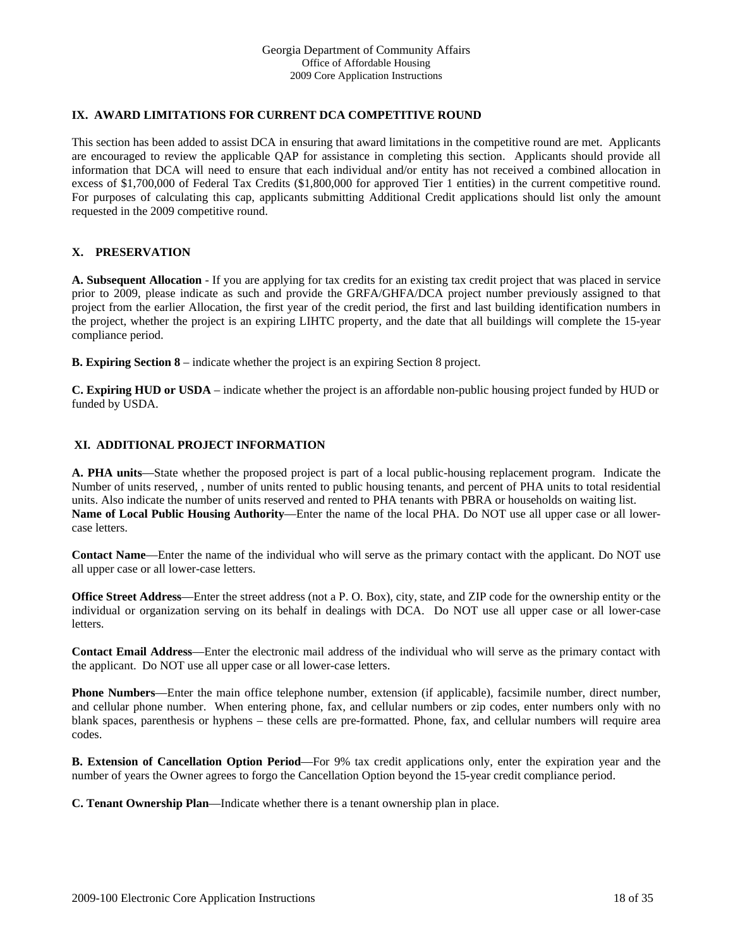# **IX. AWARD LIMITATIONS FOR CURRENT DCA COMPETITIVE ROUND**

This section has been added to assist DCA in ensuring that award limitations in the competitive round are met. Applicants are encouraged to review the applicable QAP for assistance in completing this section. Applicants should provide all information that DCA will need to ensure that each individual and/or entity has not received a combined allocation in excess of \$1,700,000 of Federal Tax Credits (\$1,800,000 for approved Tier 1 entities) in the current competitive round. For purposes of calculating this cap, applicants submitting Additional Credit applications should list only the amount requested in the 2009 competitive round.

# **X. PRESERVATION**

**A. Subsequent Allocation** - If you are applying for tax credits for an existing tax credit project that was placed in service prior to 2009, please indicate as such and provide the GRFA/GHFA/DCA project number previously assigned to that project from the earlier Allocation, the first year of the credit period, the first and last building identification numbers in the project, whether the project is an expiring LIHTC property, and the date that all buildings will complete the 15-year compliance period.

**B. Expiring Section 8** – indicate whether the project is an expiring Section 8 project.

**C. Expiring HUD or USDA** – indicate whether the project is an affordable non-public housing project funded by HUD or funded by USDA.

# **XI. ADDITIONAL PROJECT INFORMATION**

**A. PHA units**—State whether the proposed project is part of a local public-housing replacement program. Indicate the Number of units reserved, , number of units rented to public housing tenants, and percent of PHA units to total residential units. Also indicate the number of units reserved and rented to PHA tenants with PBRA or households on waiting list. **Name of Local Public Housing Authority**—Enter the name of the local PHA. Do NOT use all upper case or all lowercase letters.

**Contact Name**—Enter the name of the individual who will serve as the primary contact with the applicant. Do NOT use all upper case or all lower-case letters.

**Office Street Address**—Enter the street address (not a P. O. Box), city, state, and ZIP code for the ownership entity or the individual or organization serving on its behalf in dealings with DCA. Do NOT use all upper case or all lower-case letters.

**Contact Email Address**—Enter the electronic mail address of the individual who will serve as the primary contact with the applicant. Do NOT use all upper case or all lower-case letters.

**Phone Numbers**—Enter the main office telephone number, extension (if applicable), facsimile number, direct number, and cellular phone number. When entering phone, fax, and cellular numbers or zip codes, enter numbers only with no blank spaces, parenthesis or hyphens – these cells are pre-formatted. Phone, fax, and cellular numbers will require area codes.

**B. Extension of Cancellation Option Period**—For 9% tax credit applications only, enter the expiration year and the number of years the Owner agrees to forgo the Cancellation Option beyond the 15-year credit compliance period.

**C. Tenant Ownership Plan**—Indicate whether there is a tenant ownership plan in place.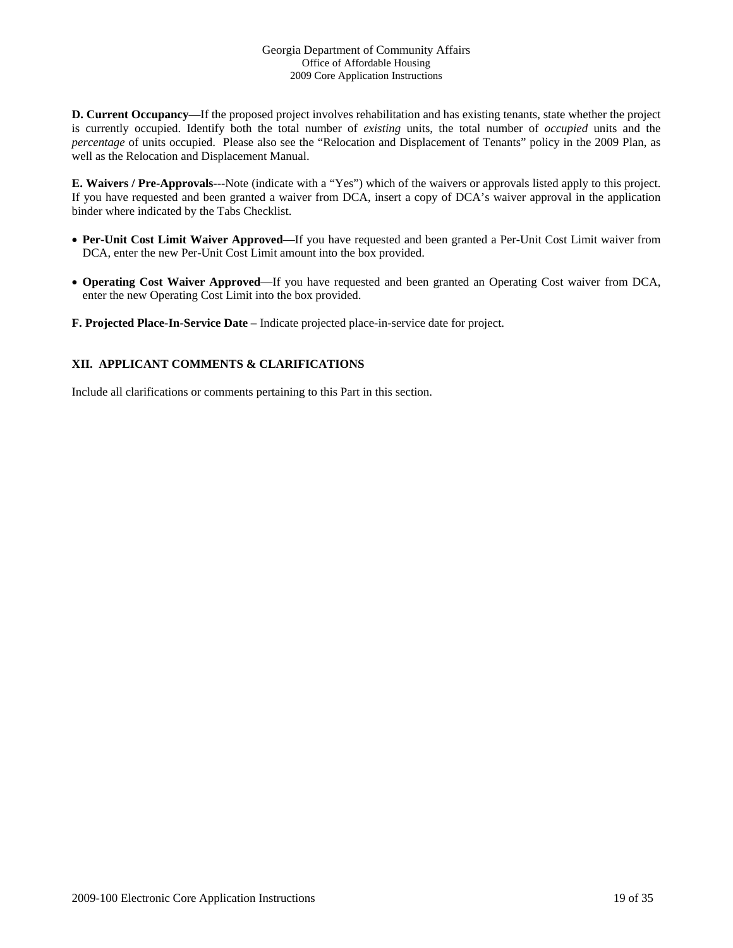**D. Current Occupancy**—If the proposed project involves rehabilitation and has existing tenants, state whether the project is currently occupied. Identify both the total number of *existing* units, the total number of *occupied* units and the *percentage* of units occupied. Please also see the "Relocation and Displacement of Tenants" policy in the 2009 Plan, as well as the Relocation and Displacement Manual.

**E. Waivers / Pre-Approvals**---Note (indicate with a "Yes") which of the waivers or approvals listed apply to this project. If you have requested and been granted a waiver from DCA, insert a copy of DCA's waiver approval in the application binder where indicated by the Tabs Checklist.

- **Per-Unit Cost Limit Waiver Approved**—If you have requested and been granted a Per-Unit Cost Limit waiver from DCA, enter the new Per-Unit Cost Limit amount into the box provided.
- **Operating Cost Waiver Approved**—If you have requested and been granted an Operating Cost waiver from DCA, enter the new Operating Cost Limit into the box provided.

**F. Projected Place-In-Service Date –** Indicate projected place-in-service date for project.

# **XII. APPLICANT COMMENTS & CLARIFICATIONS**

Include all clarifications or comments pertaining to this Part in this section.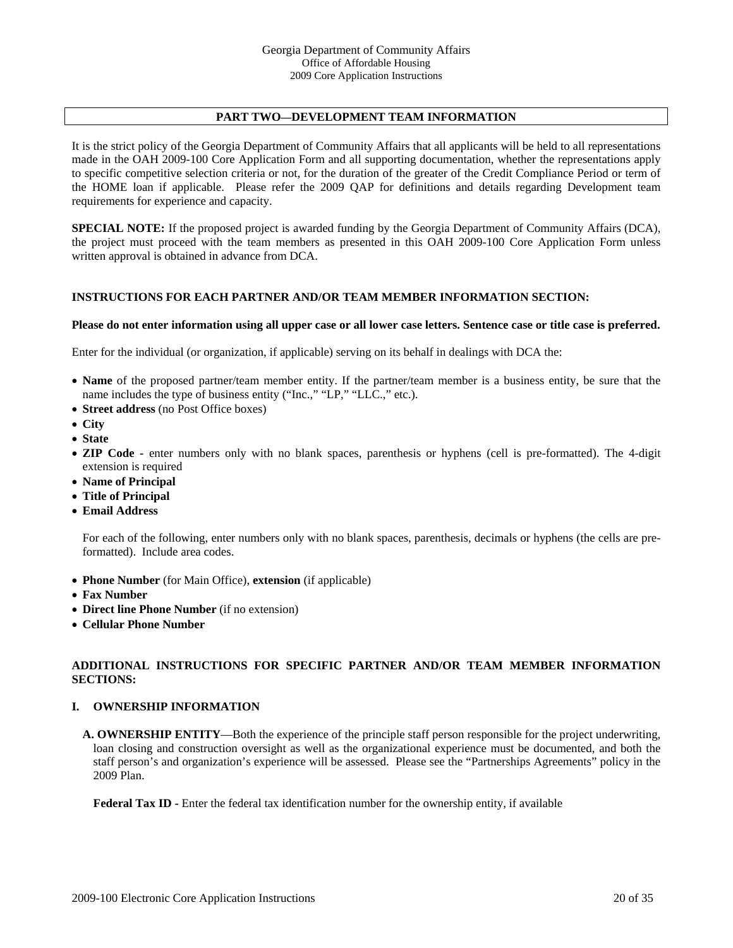# **PART TWO—DEVELOPMENT TEAM INFORMATION**

It is the strict policy of the Georgia Department of Community Affairs that all applicants will be held to all representations made in the OAH 2009-100 Core Application Form and all supporting documentation, whether the representations apply to specific competitive selection criteria or not, for the duration of the greater of the Credit Compliance Period or term of the HOME loan if applicable. Please refer the 2009 QAP for definitions and details regarding Development team requirements for experience and capacity.

**SPECIAL NOTE:** If the proposed project is awarded funding by the Georgia Department of Community Affairs (DCA), the project must proceed with the team members as presented in this OAH 2009-100 Core Application Form unless written approval is obtained in advance from DCA.

#### **INSTRUCTIONS FOR EACH PARTNER AND/OR TEAM MEMBER INFORMATION SECTION:**

#### **Please do not enter information using all upper case or all lower case letters. Sentence case or title case is preferred.**

Enter for the individual (or organization, if applicable) serving on its behalf in dealings with DCA the:

- **Name** of the proposed partner/team member entity. If the partner/team member is a business entity, be sure that the name includes the type of business entity ("Inc.," "LP," "LLC.," etc.).
- **Street address** (no Post Office boxes)
- **City**
- **State**
- **ZIP Code** enter numbers only with no blank spaces, parenthesis or hyphens (cell is pre-formatted). The 4-digit extension is required
- **Name of Principal**
- **Title of Principal**
- **Email Address**

For each of the following, enter numbers only with no blank spaces, parenthesis, decimals or hyphens (the cells are preformatted). Include area codes.

- **Phone Number** (for Main Office), **extension** (if applicable)
- **Fax Number**
- **Direct line Phone Number** (if no extension)
- **Cellular Phone Number**

# **ADDITIONAL INSTRUCTIONS FOR SPECIFIC PARTNER AND/OR TEAM MEMBER INFORMATION SECTIONS:**

#### **I. OWNERSHIP INFORMATION**

**A. OWNERSHIP ENTITY**—Both the experience of the principle staff person responsible for the project underwriting, loan closing and construction oversight as well as the organizational experience must be documented, and both the staff person's and organization's experience will be assessed. Please see the "Partnerships Agreements" policy in the 2009 Plan.

**Federal Tax ID -** Enter the federal tax identification number for the ownership entity, if available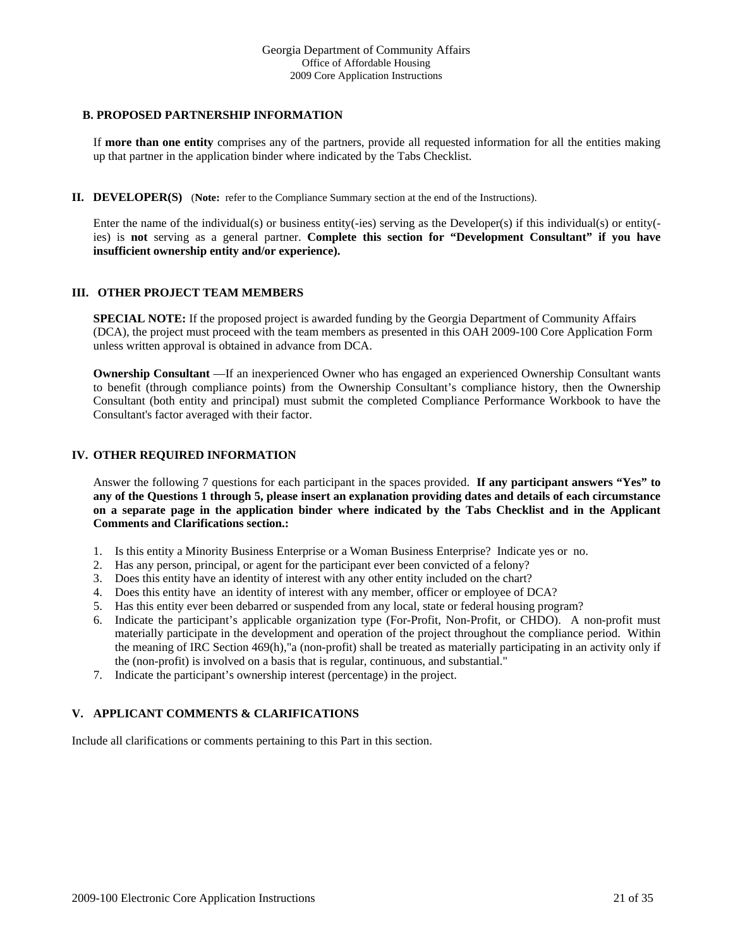#### **B. PROPOSED PARTNERSHIP INFORMATION**

If **more than one entity** comprises any of the partners, provide all requested information for all the entities making up that partner in the application binder where indicated by the Tabs Checklist.

**II. DEVELOPER(S)** (**Note:** refer to the Compliance Summary section at the end of the Instructions).

Enter the name of the individual(s) or business entity(-ies) serving as the Developer(s) if this individual(s) or entity( ies) is **not** serving as a general partner. **Complete this section for "Development Consultant" if you have insufficient ownership entity and/or experience).**

# **III. OTHER PROJECT TEAM MEMBERS**

**SPECIAL NOTE:** If the proposed project is awarded funding by the Georgia Department of Community Affairs (DCA), the project must proceed with the team members as presented in this OAH 2009-100 Core Application Form unless written approval is obtained in advance from DCA.

**Ownership Consultant** —If an inexperienced Owner who has engaged an experienced Ownership Consultant wants to benefit (through compliance points) from the Ownership Consultant's compliance history, then the Ownership Consultant (both entity and principal) must submit the completed Compliance Performance Workbook to have the Consultant's factor averaged with their factor.

# **IV. OTHER REQUIRED INFORMATION**

Answer the following 7 questions for each participant in the spaces provided. **If any participant answers "Yes" to any of the Questions 1 through 5, please insert an explanation providing dates and details of each circumstance on a separate page in the application binder where indicated by the Tabs Checklist and in the Applicant Comments and Clarifications section.:** 

- 1. Is this entity a Minority Business Enterprise or a Woman Business Enterprise? Indicate yes or no.
- 2. Has any person, principal, or agent for the participant ever been convicted of a felony?
- 3. Does this entity have an identity of interest with any other entity included on the chart?
- 4. Does this entity have an identity of interest with any member, officer or employee of DCA?
- 5. Has this entity ever been debarred or suspended from any local, state or federal housing program?
- 6. Indicate the participant's applicable organization type (For-Profit, Non-Profit, or CHDO). A non-profit must materially participate in the development and operation of the project throughout the compliance period. Within the meaning of IRC Section 469(h),"a (non-profit) shall be treated as materially participating in an activity only if the (non-profit) is involved on a basis that is regular, continuous, and substantial."
- 7. Indicate the participant's ownership interest (percentage) in the project.

# **V. APPLICANT COMMENTS & CLARIFICATIONS**

Include all clarifications or comments pertaining to this Part in this section.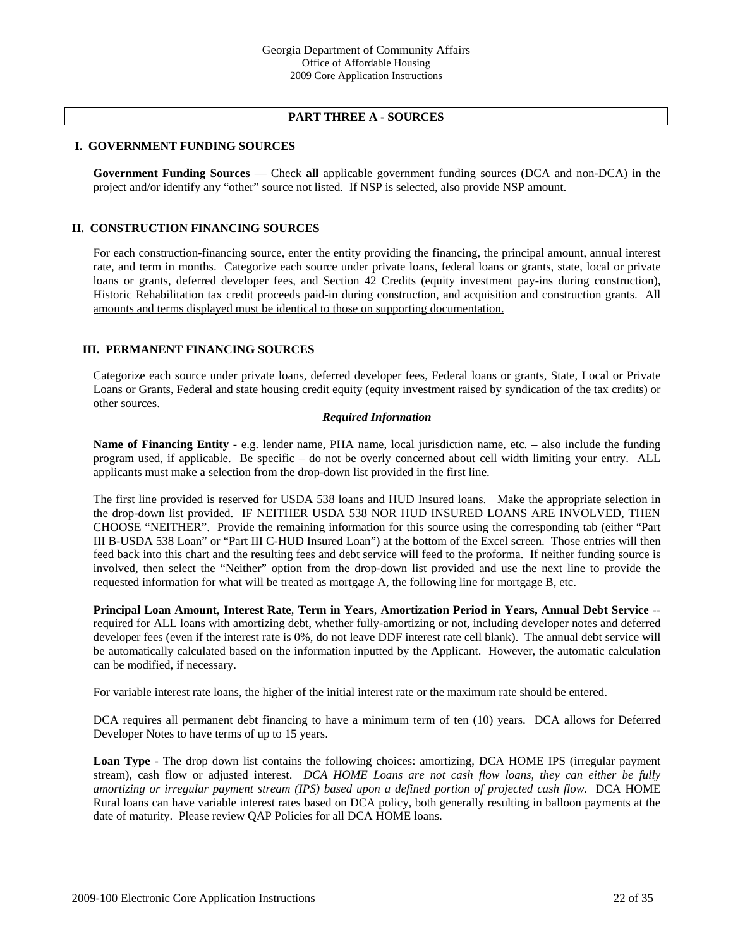### **PART THREE A - SOURCES**

# **I. GOVERNMENT FUNDING SOURCES**

**Government Funding Sources** — Check **all** applicable government funding sources (DCA and non-DCA) in the project and/or identify any "other" source not listed. If NSP is selected, also provide NSP amount.

#### **II. CONSTRUCTION FINANCING SOURCES**

For each construction-financing source, enter the entity providing the financing, the principal amount, annual interest rate, and term in months. Categorize each source under private loans, federal loans or grants, state, local or private loans or grants, deferred developer fees, and Section 42 Credits (equity investment pay-ins during construction), Historic Rehabilitation tax credit proceeds paid-in during construction, and acquisition and construction grants. All amounts and terms displayed must be identical to those on supporting documentation.

#### **III. PERMANENT FINANCING SOURCES**

Categorize each source under private loans, deferred developer fees, Federal loans or grants, State, Local or Private Loans or Grants, Federal and state housing credit equity (equity investment raised by syndication of the tax credits) or other sources.

#### *Required Information*

**Name of Financing Entity** - e.g. lender name, PHA name, local jurisdiction name, etc. – also include the funding program used, if applicable. Be specific – do not be overly concerned about cell width limiting your entry. ALL applicants must make a selection from the drop-down list provided in the first line.

The first line provided is reserved for USDA 538 loans and HUD Insured loans. Make the appropriate selection in the drop-down list provided. IF NEITHER USDA 538 NOR HUD INSURED LOANS ARE INVOLVED, THEN CHOOSE "NEITHER". Provide the remaining information for this source using the corresponding tab (either "Part III B-USDA 538 Loan" or "Part III C-HUD Insured Loan") at the bottom of the Excel screen. Those entries will then feed back into this chart and the resulting fees and debt service will feed to the proforma. If neither funding source is involved, then select the "Neither" option from the drop-down list provided and use the next line to provide the requested information for what will be treated as mortgage A, the following line for mortgage B, etc.

**Principal Loan Amount**, **Interest Rate**, **Term in Years**, **Amortization Period in Years, Annual Debt Service** - required for ALL loans with amortizing debt, whether fully-amortizing or not, including developer notes and deferred developer fees (even if the interest rate is 0%, do not leave DDF interest rate cell blank). The annual debt service will be automatically calculated based on the information inputted by the Applicant. However, the automatic calculation can be modified, if necessary.

For variable interest rate loans, the higher of the initial interest rate or the maximum rate should be entered.

DCA requires all permanent debt financing to have a minimum term of ten (10) years. DCA allows for Deferred Developer Notes to have terms of up to 15 years.

**Loan Type** - The drop down list contains the following choices: amortizing, DCA HOME IPS (irregular payment stream), cash flow or adjusted interest. *DCA HOME Loans are not cash flow loans, they can either be fully amortizing or irregular payment stream (IPS) based upon a defined portion of projected cash flow.* DCA HOME Rural loans can have variable interest rates based on DCA policy, both generally resulting in balloon payments at the date of maturity. Please review QAP Policies for all DCA HOME loans.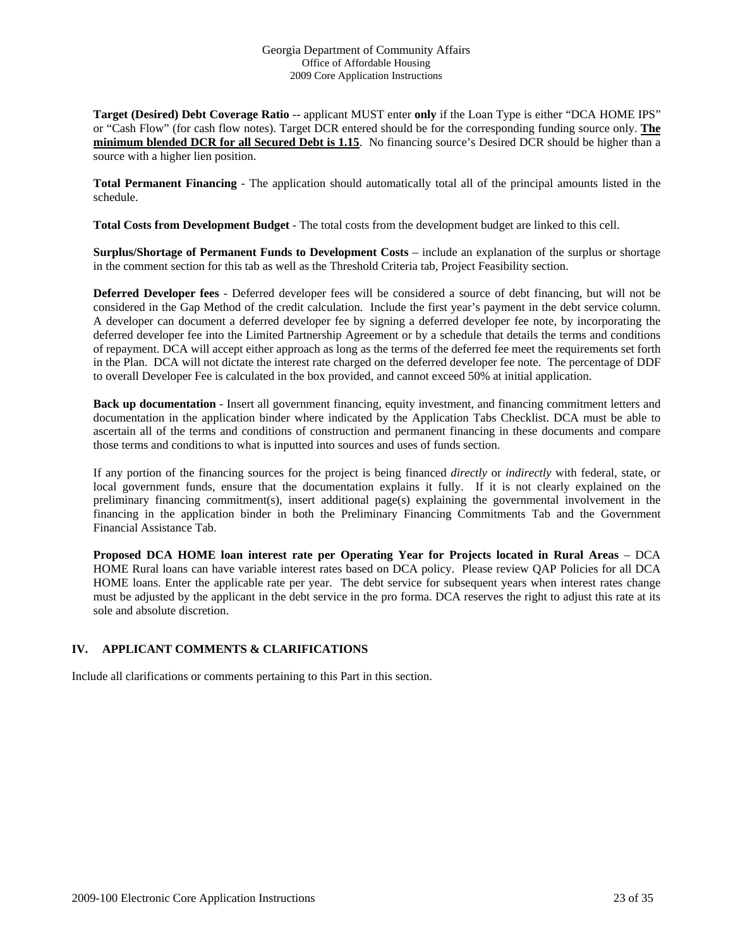**Target (Desired) Debt Coverage Ratio** -- applicant MUST enter **only** if the Loan Type is either "DCA HOME IPS" or "Cash Flow" (for cash flow notes). Target DCR entered should be for the corresponding funding source only. **The minimum blended DCR for all Secured Debt is 1.15**. No financing source's Desired DCR should be higher than a source with a higher lien position.

**Total Permanent Financing** - The application should automatically total all of the principal amounts listed in the schedule.

**Total Costs from Development Budget** - The total costs from the development budget are linked to this cell.

**Surplus/Shortage of Permanent Funds to Development Costs** – include an explanation of the surplus or shortage in the comment section for this tab as well as the Threshold Criteria tab, Project Feasibility section.

**Deferred Developer fees** - Deferred developer fees will be considered a source of debt financing, but will not be considered in the Gap Method of the credit calculation. Include the first year's payment in the debt service column. A developer can document a deferred developer fee by signing a deferred developer fee note, by incorporating the deferred developer fee into the Limited Partnership Agreement or by a schedule that details the terms and conditions of repayment. DCA will accept either approach as long as the terms of the deferred fee meet the requirements set forth in the Plan. DCA will not dictate the interest rate charged on the deferred developer fee note. The percentage of DDF to overall Developer Fee is calculated in the box provided, and cannot exceed 50% at initial application.

**Back up documentation** - Insert all government financing, equity investment, and financing commitment letters and documentation in the application binder where indicated by the Application Tabs Checklist. DCA must be able to ascertain all of the terms and conditions of construction and permanent financing in these documents and compare those terms and conditions to what is inputted into sources and uses of funds section.

If any portion of the financing sources for the project is being financed *directly* or *indirectly* with federal, state, or local government funds, ensure that the documentation explains it fully. If it is not clearly explained on the preliminary financing commitment(s), insert additional page(s) explaining the governmental involvement in the financing in the application binder in both the Preliminary Financing Commitments Tab and the Government Financial Assistance Tab.

**Proposed DCA HOME loan interest rate per Operating Year for Projects located in Rural Areas** – DCA HOME Rural loans can have variable interest rates based on DCA policy. Please review QAP Policies for all DCA HOME loans. Enter the applicable rate per year. The debt service for subsequent years when interest rates change must be adjusted by the applicant in the debt service in the pro forma. DCA reserves the right to adjust this rate at its sole and absolute discretion.

# **IV. APPLICANT COMMENTS & CLARIFICATIONS**

Include all clarifications or comments pertaining to this Part in this section.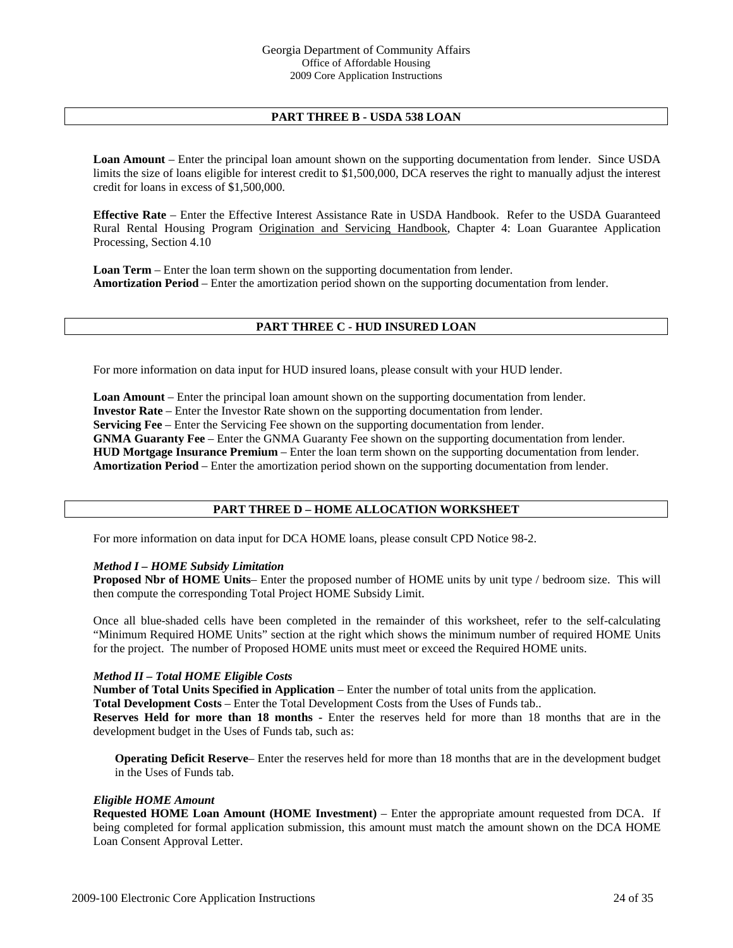# **PART THREE B - USDA 538 LOAN**

**Loan Amount** – Enter the principal loan amount shown on the supporting documentation from lender. Since USDA limits the size of loans eligible for interest credit to \$1,500,000, DCA reserves the right to manually adjust the interest credit for loans in excess of \$1,500,000.

**Effective Rate** – Enter the Effective Interest Assistance Rate in USDA Handbook. Refer to the USDA Guaranteed Rural Rental Housing Program Origination and Servicing Handbook, Chapter 4: Loan Guarantee Application Processing, Section 4.10

**Loan Term** – Enter the loan term shown on the supporting documentation from lender. **Amortization Period** – Enter the amortization period shown on the supporting documentation from lender.

#### **PART THREE C - HUD INSURED LOAN**

For more information on data input for HUD insured loans, please consult with your HUD lender.

**Loan Amount** – Enter the principal loan amount shown on the supporting documentation from lender. **Investor Rate** – Enter the Investor Rate shown on the supporting documentation from lender. **Servicing Fee** – Enter the Servicing Fee shown on the supporting documentation from lender. **GNMA Guaranty Fee** – Enter the GNMA Guaranty Fee shown on the supporting documentation from lender. **HUD Mortgage Insurance Premium** – Enter the loan term shown on the supporting documentation from lender. **Amortization Period** – Enter the amortization period shown on the supporting documentation from lender.

#### **PART THREE D – HOME ALLOCATION WORKSHEET**

For more information on data input for DCA HOME loans, please consult CPD Notice 98-2.

#### *Method I – HOME Subsidy Limitation*

**Proposed Nbr of HOME Units**– Enter the proposed number of HOME units by unit type / bedroom size. This will then compute the corresponding Total Project HOME Subsidy Limit.

Once all blue-shaded cells have been completed in the remainder of this worksheet, refer to the self-calculating "Minimum Required HOME Units" section at the right which shows the minimum number of required HOME Units for the project. The number of Proposed HOME units must meet or exceed the Required HOME units.

#### *Method II – Total HOME Eligible Costs*

**Number of Total Units Specified in Application** – Enter the number of total units from the application.

**Total Development Costs** – Enter the Total Development Costs from the Uses of Funds tab..

**Reserves Held for more than 18 months -** Enter the reserves held for more than 18 months that are in the development budget in the Uses of Funds tab, such as:

**Operating Deficit Reserve**– Enter the reserves held for more than 18 months that are in the development budget in the Uses of Funds tab.

#### *Eligible HOME Amount*

**Requested HOME Loan Amount (HOME Investment)** – Enter the appropriate amount requested from DCA. If being completed for formal application submission, this amount must match the amount shown on the DCA HOME Loan Consent Approval Letter.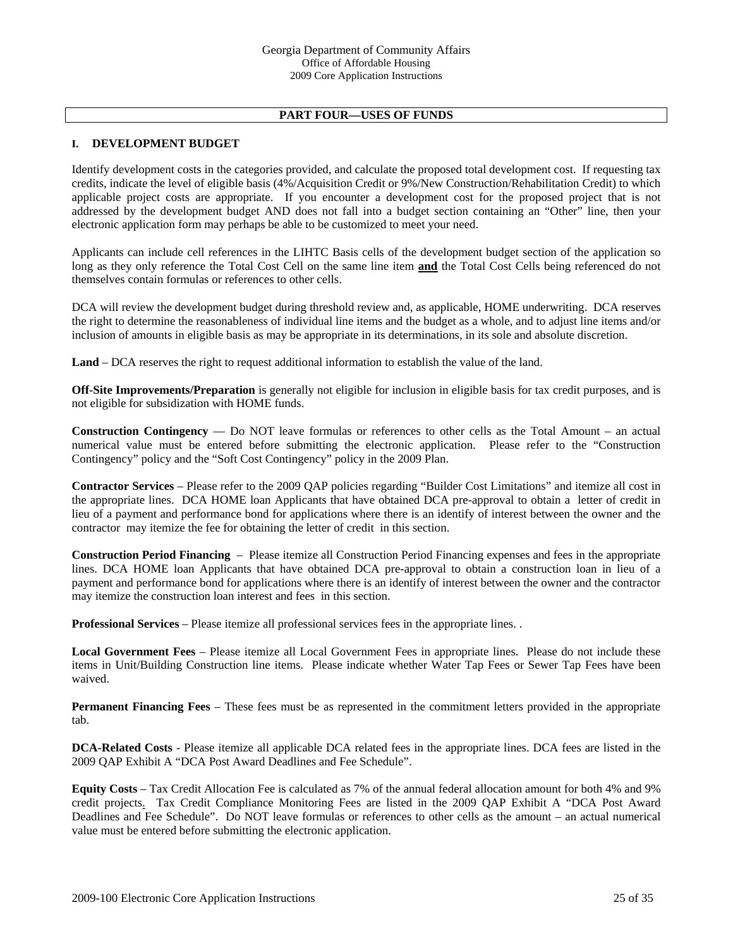# **PART FOUR—USES OF FUNDS**

# **I. DEVELOPMENT BUDGET**

Identify development costs in the categories provided, and calculate the proposed total development cost. If requesting tax credits, indicate the level of eligible basis (4%/Acquisition Credit or 9%/New Construction/Rehabilitation Credit) to which applicable project costs are appropriate. If you encounter a development cost for the proposed project that is not addressed by the development budget AND does not fall into a budget section containing an "Other" line, then your electronic application form may perhaps be able to be customized to meet your need.

Applicants can include cell references in the LIHTC Basis cells of the development budget section of the application so long as they only reference the Total Cost Cell on the same line item **and** the Total Cost Cells being referenced do not themselves contain formulas or references to other cells.

 DCA will review the development budget during threshold review and, as applicable, HOME underwriting. DCA reserves the right to determine the reasonableness of individual line items and the budget as a whole, and to adjust line items and/or inclusion of amounts in eligible basis as may be appropriate in its determinations, in its sole and absolute discretion.

**Land** – DCA reserves the right to request additional information to establish the value of the land.

**Off-Site Improvements/Preparation** is generally not eligible for inclusion in eligible basis for tax credit purposes, and is not eligible for subsidization with HOME funds.

**Construction Contingency** — Do NOT leave formulas or references to other cells as the Total Amount – an actual numerical value must be entered before submitting the electronic application. Please refer to the "Construction Contingency" policy and the "Soft Cost Contingency" policy in the 2009 Plan.

**Contractor Services** – Please refer to the 2009 QAP policies regarding "Builder Cost Limitations" and itemize all cost in the appropriate lines.DCA HOME loan Applicants that have obtained DCA pre-approval to obtain a letter of credit in lieu of a payment and performance bond for applications where there is an identify of interest between the owner and the contractor may itemize the fee for obtaining the letter of credit in this section.

**Construction Period Financing** – Please itemize all Construction Period Financing expenses and fees in the appropriate lines. DCA HOME loan Applicants that have obtained DCA pre-approval to obtain a construction loan in lieu of a payment and performance bond for applications where there is an identify of interest between the owner and the contractor may itemize the construction loan interest and fees in this section.

**Professional Services** – Please itemize all professional services fees in the appropriate lines. .

**Local Government Fees** – Please itemize all Local Government Fees in appropriate lines. Please do not include these items in Unit/Building Construction line items. Please indicate whether Water Tap Fees or Sewer Tap Fees have been waived.

**Permanent Financing Fees** – These fees must be as represented in the commitment letters provided in the appropriate tab.

**DCA-Related Costs** - Please itemize all applicable DCA related fees in the appropriate lines. DCA fees are listed in the 2009 QAP Exhibit A "DCA Post Award Deadlines and Fee Schedule".

**Equity Costs** – Tax Credit Allocation Fee is calculated as 7% of the annual federal allocation amount for both 4% and 9% credit projects. Tax Credit Compliance Monitoring Fees are listed in the 2009 QAP Exhibit A "DCA Post Award Deadlines and Fee Schedule". Do NOT leave formulas or references to other cells as the amount – an actual numerical value must be entered before submitting the electronic application.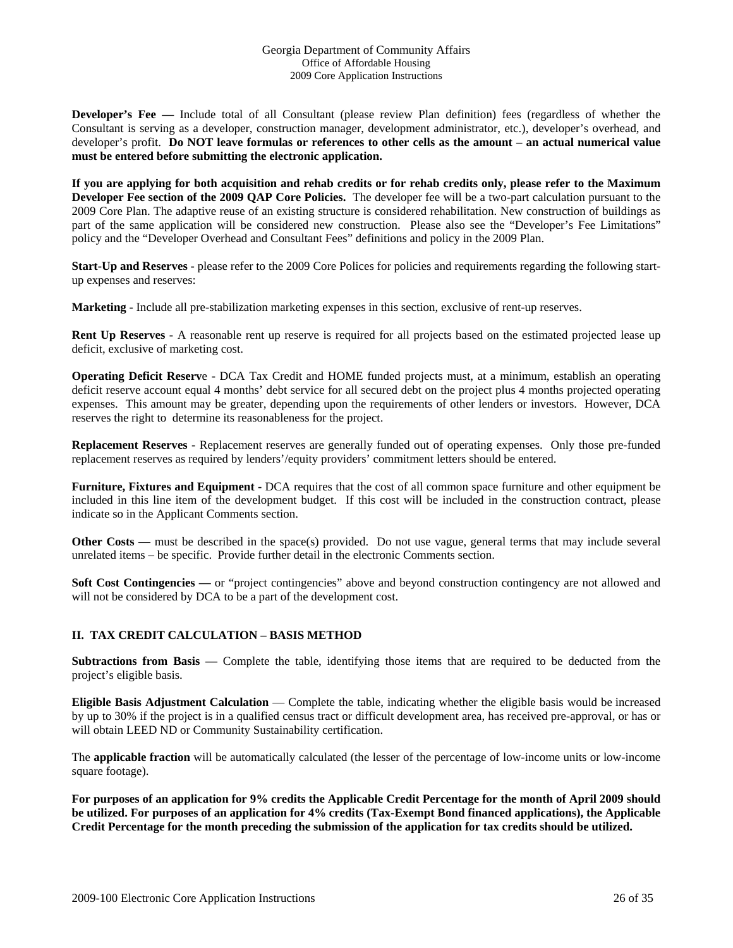**Developer's Fee —** Include total of all Consultant (please review Plan definition) fees (regardless of whether the Consultant is serving as a developer, construction manager, development administrator, etc.), developer's overhead, and developer's profit. **Do NOT leave formulas or references to other cells as the amount – an actual numerical value must be entered before submitting the electronic application.** 

**If you are applying for both acquisition and rehab credits or for rehab credits only, please refer to the Maximum Developer Fee section of the 2009 QAP Core Policies.** The developer fee will be a two-part calculation pursuant to the 2009 Core Plan. The adaptive reuse of an existing structure is considered rehabilitation. New construction of buildings as part of the same application will be considered new construction. Please also see the "Developer's Fee Limitations" policy and the "Developer Overhead and Consultant Fees" definitions and policy in the 2009 Plan.

**Start-Up and Reserves -** please refer to the 2009 Core Polices for policies and requirements regarding the following startup expenses and reserves:

**Marketing -** Include all pre-stabilization marketing expenses in this section, exclusive of rent-up reserves.

**Rent Up Reserves -** A reasonable rent up reserve is required for all projects based on the estimated projected lease up deficit, exclusive of marketing cost.

**Operating Deficit Reserv**e **-** DCA Tax Credit and HOME funded projects must, at a minimum, establish an operating deficit reserve account equal 4 months' debt service for all secured debt on the project plus 4 months projected operating expenses. This amount may be greater, depending upon the requirements of other lenders or investors. However, DCA reserves the right to determine its reasonableness for the project.

**Replacement Reserves -** Replacement reserves are generally funded out of operating expenses. Only those pre-funded replacement reserves as required by lenders'/equity providers' commitment letters should be entered.

**Furniture, Fixtures and Equipment -** DCA requires that the cost of all common space furniture and other equipment be included in this line item of the development budget. If this cost will be included in the construction contract, please indicate so in the Applicant Comments section.

**Other Costs** — must be described in the space(s) provided. Do not use vague, general terms that may include several unrelated items – be specific. Provide further detail in the electronic Comments section.

**Soft Cost Contingencies** — or "project contingencies" above and beyond construction contingency are not allowed and will not be considered by DCA to be a part of the development cost.

# **II. TAX CREDIT CALCULATION – BASIS METHOD**

**Subtractions from Basis —** Complete the table, identifying those items that are required to be deducted from the project's eligible basis.

**Eligible Basis Adjustment Calculation** — Complete the table, indicating whether the eligible basis would be increased by up to 30% if the project is in a qualified census tract or difficult development area, has received pre-approval, or has or will obtain LEED ND or Community Sustainability certification.

The **applicable fraction** will be automatically calculated (the lesser of the percentage of low-income units or low-income square footage).

**For purposes of an application for 9% credits the Applicable Credit Percentage for the month of April 2009 should be utilized. For purposes of an application for 4% credits (Tax-Exempt Bond financed applications), the Applicable Credit Percentage for the month preceding the submission of the application for tax credits should be utilized.**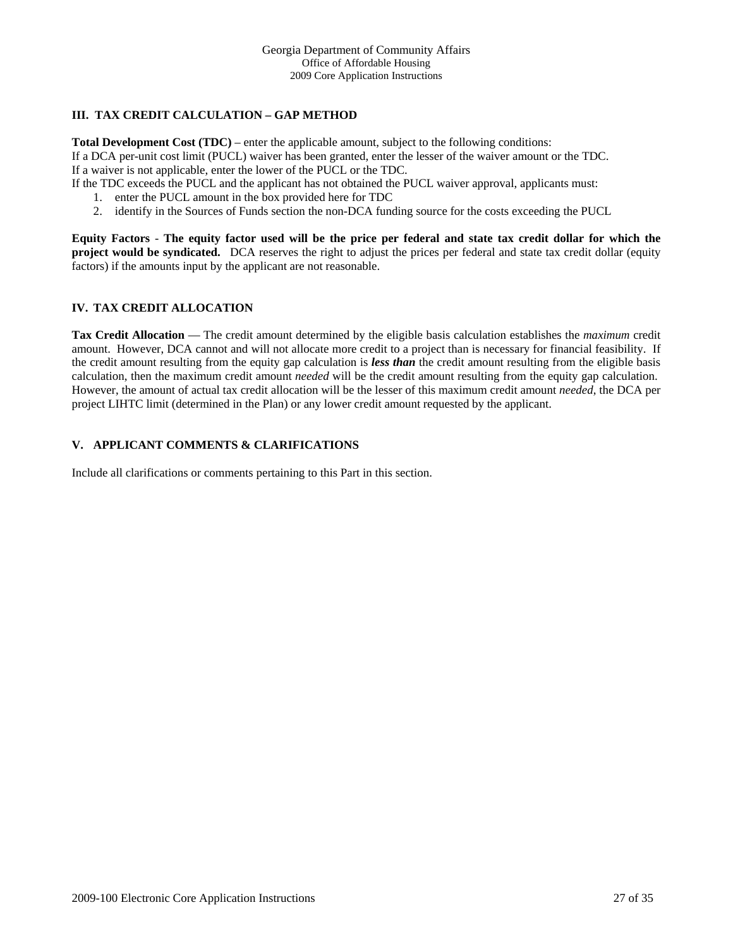# **III. TAX CREDIT CALCULATION – GAP METHOD**

**Total Development Cost (TDC)** – enter the applicable amount, subject to the following conditions: If a DCA per-unit cost limit (PUCL) waiver has been granted, enter the lesser of the waiver amount or the TDC. If a waiver is not applicable, enter the lower of the PUCL or the TDC.

If the TDC exceeds the PUCL and the applicant has not obtained the PUCL waiver approval, applicants must:

- 1. enter the PUCL amount in the box provided here for TDC
- 2. identify in the Sources of Funds section the non-DCA funding source for the costs exceeding the PUCL

**Equity Factors** - **The equity factor used will be the price per federal and state tax credit dollar for which the project would be syndicated.** DCA reserves the right to adjust the prices per federal and state tax credit dollar (equity factors) if the amounts input by the applicant are not reasonable.

# **IV. TAX CREDIT ALLOCATION**

**Tax Credit Allocation** — The credit amount determined by the eligible basis calculation establishes the *maximum* credit amount. However, DCA cannot and will not allocate more credit to a project than is necessary for financial feasibility. If the credit amount resulting from the equity gap calculation is *less than* the credit amount resulting from the eligible basis calculation, then the maximum credit amount *needed* will be the credit amount resulting from the equity gap calculation. However, the amount of actual tax credit allocation will be the lesser of this maximum credit amount *needed*, the DCA per project LIHTC limit (determined in the Plan) or any lower credit amount requested by the applicant.

# **V. APPLICANT COMMENTS & CLARIFICATIONS**

Include all clarifications or comments pertaining to this Part in this section.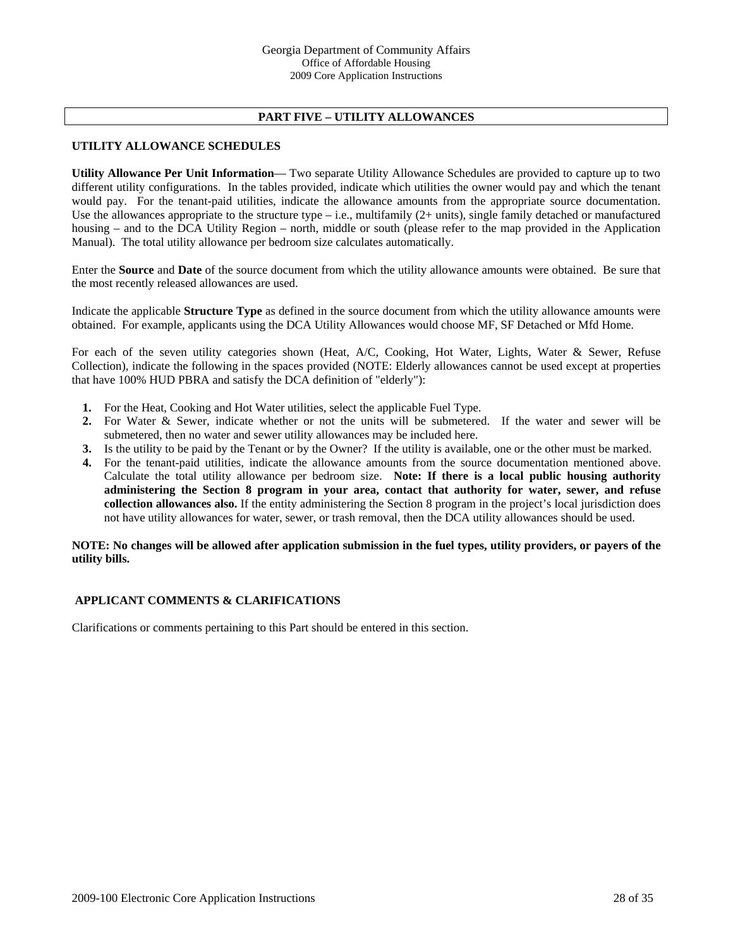# **PART FIVE – UTILITY ALLOWANCES**

### **UTILITY ALLOWANCE SCHEDULES**

**Utility Allowance Per Unit Information**— Two separate Utility Allowance Schedules are provided to capture up to two different utility configurations.In the tables provided, indicate which utilities the owner would pay and which the tenant would pay. For the tenant-paid utilities, indicate the allowance amounts from the appropriate source documentation. Use the allowances appropriate to the structure type  $-$  i.e., multifamily (2+ units), single family detached or manufactured housing – and to the DCA Utility Region – north, middle or south (please refer to the map provided in the Application Manual). The total utility allowance per bedroom size calculates automatically.

Enter the **Source** and **Date** of the source document from which the utility allowance amounts were obtained. Be sure that the most recently released allowances are used.

Indicate the applicable **Structure Type** as defined in the source document from which the utility allowance amounts were obtained. For example, applicants using the DCA Utility Allowances would choose MF, SF Detached or Mfd Home.

For each of the seven utility categories shown (Heat, A/C, Cooking, Hot Water, Lights, Water & Sewer, Refuse Collection), indicate the following in the spaces provided (NOTE: Elderly allowances cannot be used except at properties that have 100% HUD PBRA and satisfy the DCA definition of "elderly"):

- **1.** For the Heat, Cooking and Hot Water utilities, select the applicable Fuel Type.
- **2.** For Water & Sewer, indicate whether or not the units will be submetered. If the water and sewer will be submetered, then no water and sewer utility allowances may be included here.
- **3.** Is the utility to be paid by the Tenant or by the Owner? If the utility is available, one or the other must be marked.
- **4.** For the tenant-paid utilities, indicate the allowance amounts from the source documentation mentioned above. Calculate the total utility allowance per bedroom size. **Note: If there is a local public housing authority administering the Section 8 program in your area, contact that authority for water, sewer, and refuse collection allowances also.** If the entity administering the Section 8 program in the project's local jurisdiction does not have utility allowances for water, sewer, or trash removal, then the DCA utility allowances should be used.

#### **NOTE: No changes will be allowed after application submission in the fuel types, utility providers, or payers of the utility bills.**

#### **APPLICANT COMMENTS & CLARIFICATIONS**

Clarifications or comments pertaining to this Part should be entered in this section.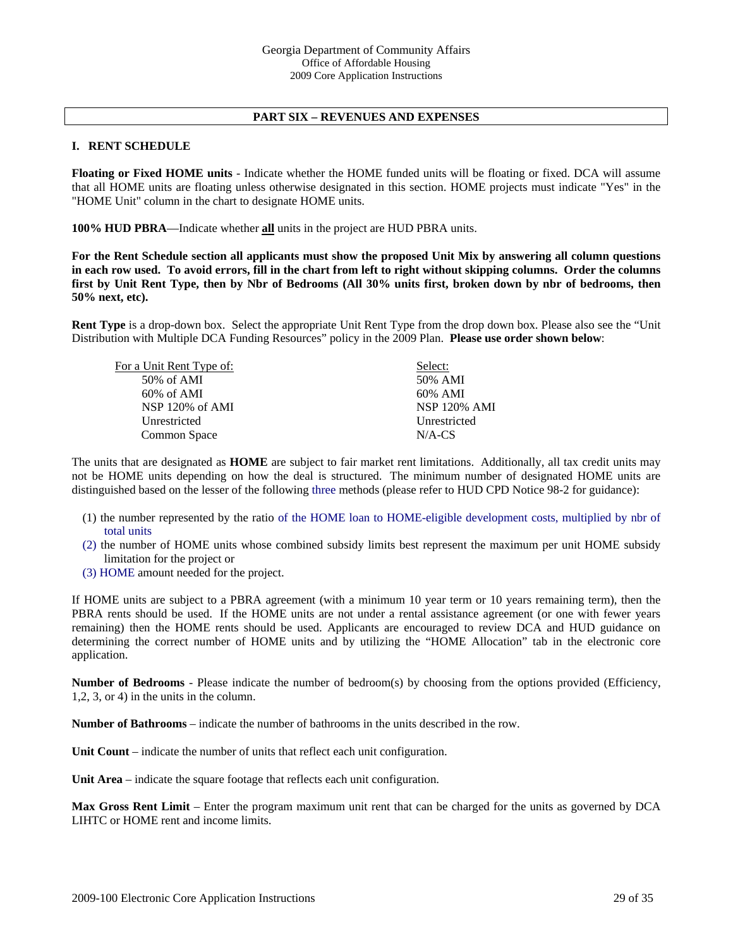### **PART SIX – REVENUES AND EXPENSES**

#### **I. RENT SCHEDULE**

**Floating or Fixed HOME units** - Indicate whether the HOME funded units will be floating or fixed. DCA will assume that all HOME units are floating unless otherwise designated in this section. HOME projects must indicate "Yes" in the "HOME Unit" column in the chart to designate HOME units.

**100% HUD PBRA**—Indicate whether **all** units in the project are HUD PBRA units.

**For the Rent Schedule section all applicants must show the proposed Unit Mix by answering all column questions in each row used. To avoid errors, fill in the chart from left to right without skipping columns. Order the columns first by Unit Rent Type, then by Nbr of Bedrooms (All 30% units first, broken down by nbr of bedrooms, then 50% next, etc).** 

**Rent Type** is a drop-down box. Select the appropriate Unit Rent Type from the drop down box. Please also see the "Unit Distribution with Multiple DCA Funding Resources" policy in the 2009 Plan. **Please use order shown below**:

| For a Unit Rent Type of: | Select:             |
|--------------------------|---------------------|
| 50% of AMI               | 50% AMI             |
| $60\%$ of AMI            | 60% AMI             |
| NSP 120% of AMI          | <b>NSP 120% AMI</b> |
| Unrestricted             | Unrestricted        |
| Common Space             | $N/A$ -CS           |
|                          |                     |

The units that are designated as **HOME** are subject to fair market rent limitations. Additionally, all tax credit units may not be HOME units depending on how the deal is structured. The minimum number of designated HOME units are distinguished based on the lesser of the following three methods (please refer to HUD CPD Notice 98-2 for guidance):

- (1) the number represented by the ratio of the HOME loan to HOME-eligible development costs, multiplied by nbr of total units
- (2) the number of HOME units whose combined subsidy limits best represent the maximum per unit HOME subsidy limitation for the project or
- (3) HOME amount needed for the project.

If HOME units are subject to a PBRA agreement (with a minimum 10 year term or 10 years remaining term), then the PBRA rents should be used. If the HOME units are not under a rental assistance agreement (or one with fewer years remaining) then the HOME rents should be used. Applicants are encouraged to review DCA and HUD guidance on determining the correct number of HOME units and by utilizing the "HOME Allocation" tab in the electronic core application.

**Number of Bedrooms** - Please indicate the number of bedroom(s) by choosing from the options provided (Efficiency, 1,2, 3, or 4) in the units in the column.

**Number of Bathrooms** – indicate the number of bathrooms in the units described in the row.

**Unit Count** – indicate the number of units that reflect each unit configuration.

**Unit Area** – indicate the square footage that reflects each unit configuration.

**Max Gross Rent Limit** – Enter the program maximum unit rent that can be charged for the units as governed by DCA LIHTC or HOME rent and income limits.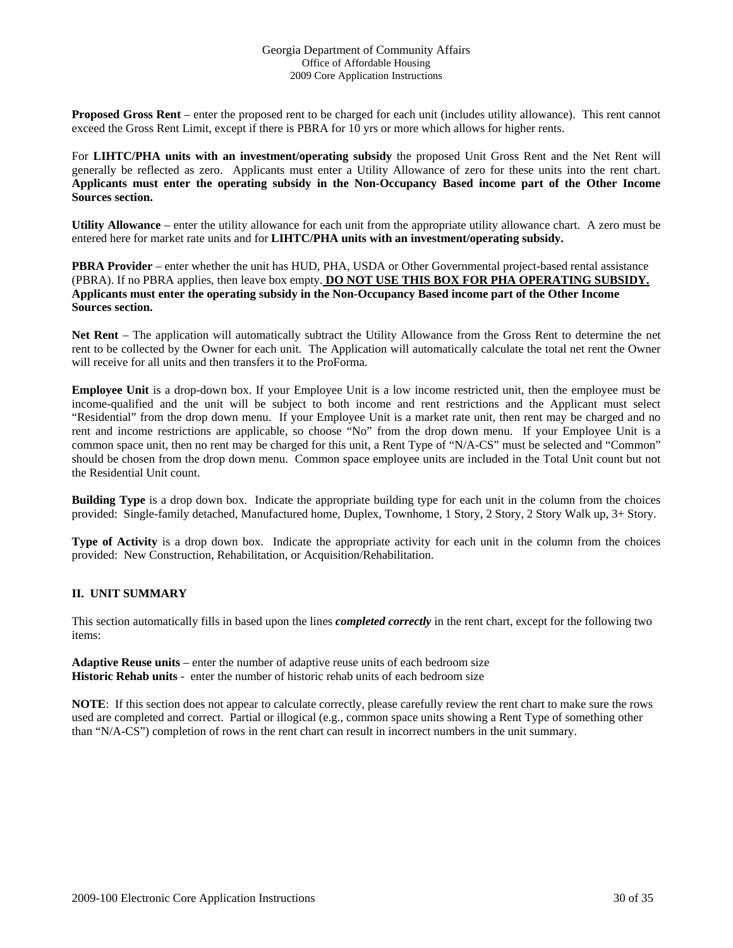**Proposed Gross Rent** – enter the proposed rent to be charged for each unit (includes utility allowance). This rent cannot exceed the Gross Rent Limit, except if there is PBRA for 10 yrs or more which allows for higher rents.

For **LIHTC/PHA units with an investment/operating subsidy** the proposed Unit Gross Rent and the Net Rent will generally be reflected as zero. Applicants must enter a Utility Allowance of zero for these units into the rent chart. **Applicants must enter the operating subsidy in the Non-Occupancy Based income part of the Other Income Sources section.** 

**Utility Allowance** – enter the utility allowance for each unit from the appropriate utility allowance chart. A zero must be entered here for market rate units and for **LIHTC/PHA units with an investment/operating subsidy.**

**PBRA Provider** – enter whether the unit has HUD, PHA, USDA or Other Governmental project-based rental assistance (PBRA). If no PBRA applies, then leave box empty. **DO NOT USE THIS BOX FOR PHA OPERATING SUBSIDY. Applicants must enter the operating subsidy in the Non-Occupancy Based income part of the Other Income Sources section.**

**Net Rent** – The application will automatically subtract the Utility Allowance from the Gross Rent to determine the net rent to be collected by the Owner for each unit. The Application will automatically calculate the total net rent the Owner will receive for all units and then transfers it to the ProForma.

**Employee Unit** is a drop-down box. If your Employee Unit is a low income restricted unit, then the employee must be income-qualified and the unit will be subject to both income and rent restrictions and the Applicant must select "Residential" from the drop down menu. If your Employee Unit is a market rate unit, then rent may be charged and no rent and income restrictions are applicable, so choose "No" from the drop down menu. If your Employee Unit is a common space unit, then no rent may be charged for this unit, a Rent Type of "N/A-CS" must be selected and "Common" should be chosen from the drop down menu. Common space employee units are included in the Total Unit count but not the Residential Unit count.

**Building Type** is a drop down box. Indicate the appropriate building type for each unit in the column from the choices provided: Single-family detached, Manufactured home, Duplex, Townhome, 1 Story, 2 Story, 2 Story Walk up, 3+ Story.

**Type of Activity** is a drop down box. Indicate the appropriate activity for each unit in the column from the choices provided: New Construction, Rehabilitation, or Acquisition/Rehabilitation.

# **II. UNIT SUMMARY**

This section automatically fills in based upon the lines *completed correctly* in the rent chart, except for the following two items:

**Adaptive Reuse units** – enter the number of adaptive reuse units of each bedroom size **Historic Rehab units** - enter the number of historic rehab units of each bedroom size

**NOTE**: If this section does not appear to calculate correctly, please carefully review the rent chart to make sure the rows used are completed and correct. Partial or illogical (e.g., common space units showing a Rent Type of something other than "N/A-CS") completion of rows in the rent chart can result in incorrect numbers in the unit summary.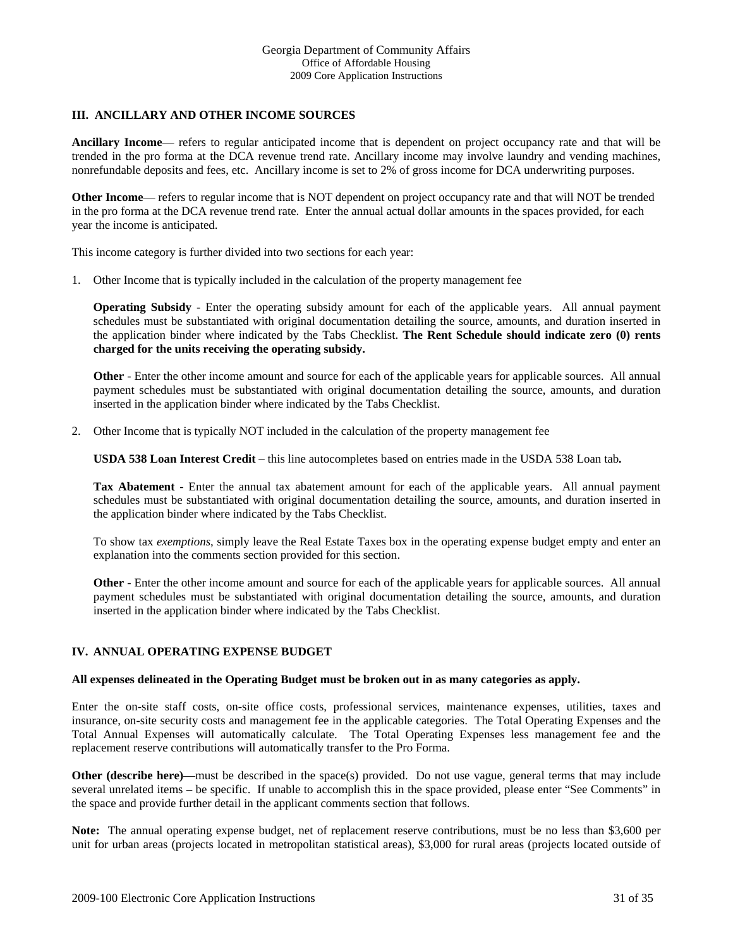# **III. ANCILLARY AND OTHER INCOME SOURCES**

**Ancillary Income**— refers to regular anticipated income that is dependent on project occupancy rate and that will be trended in the pro forma at the DCA revenue trend rate. Ancillary income may involve laundry and vending machines, nonrefundable deposits and fees, etc. Ancillary income is set to 2% of gross income for DCA underwriting purposes.

**Other Income**— refers to regular income that is NOT dependent on project occupancy rate and that will NOT be trended in the pro forma at the DCA revenue trend rate. Enter the annual actual dollar amounts in the spaces provided, for each year the income is anticipated.

This income category is further divided into two sections for each year:

1. Other Income that is typically included in the calculation of the property management fee

**Operating Subsidy** - Enter the operating subsidy amount for each of the applicable years. All annual payment schedules must be substantiated with original documentation detailing the source, amounts, and duration inserted in the application binder where indicated by the Tabs Checklist. **The Rent Schedule should indicate zero (0) rents charged for the units receiving the operating subsidy.**

**Other** - Enter the other income amount and source for each of the applicable years for applicable sources. All annual payment schedules must be substantiated with original documentation detailing the source, amounts, and duration inserted in the application binder where indicated by the Tabs Checklist.

2. Other Income that is typically NOT included in the calculation of the property management fee

**USDA 538 Loan Interest Credit** – this line autocompletes based on entries made in the USDA 538 Loan tab**.**

**Tax Abatement** - Enter the annual tax abatement amount for each of the applicable years. All annual payment schedules must be substantiated with original documentation detailing the source, amounts, and duration inserted in the application binder where indicated by the Tabs Checklist.

To show tax *exemptions*, simply leave the Real Estate Taxes box in the operating expense budget empty and enter an explanation into the comments section provided for this section.

**Other** - Enter the other income amount and source for each of the applicable years for applicable sources. All annual payment schedules must be substantiated with original documentation detailing the source, amounts, and duration inserted in the application binder where indicated by the Tabs Checklist.

# **IV. ANNUAL OPERATING EXPENSE BUDGET**

#### **All expenses delineated in the Operating Budget must be broken out in as many categories as apply.**

Enter the on-site staff costs, on-site office costs, professional services, maintenance expenses, utilities, taxes and insurance, on-site security costs and management fee in the applicable categories. The Total Operating Expenses and the Total Annual Expenses will automatically calculate. The Total Operating Expenses less management fee and the replacement reserve contributions will automatically transfer to the Pro Forma.

**Other (describe here)—must be described in the space(s) provided. Do not use vague, general terms that may include** several unrelated items – be specific. If unable to accomplish this in the space provided, please enter "See Comments" in the space and provide further detail in the applicant comments section that follows.

**Note:** The annual operating expense budget, net of replacement reserve contributions, must be no less than \$3,600 per unit for urban areas (projects located in metropolitan statistical areas), \$3,000 for rural areas (projects located outside of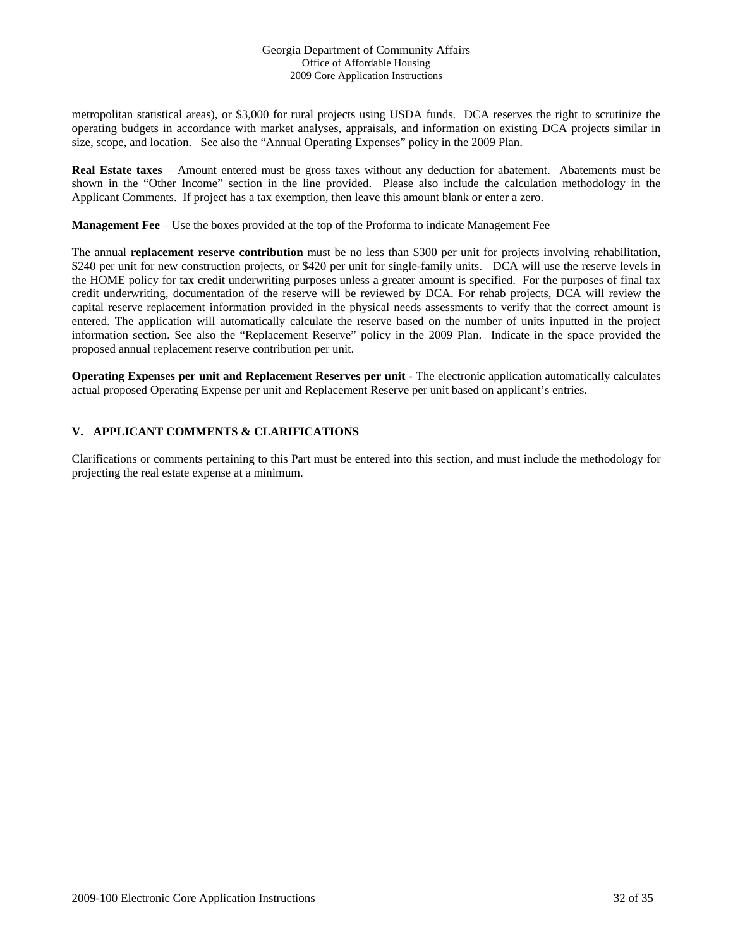metropolitan statistical areas), or \$3,000 for rural projects using USDA funds. DCA reserves the right to scrutinize the operating budgets in accordance with market analyses, appraisals, and information on existing DCA projects similar in size, scope, and location. See also the "Annual Operating Expenses" policy in the 2009 Plan.

**Real Estate taxes** – Amount entered must be gross taxes without any deduction for abatement. Abatements must be shown in the "Other Income" section in the line provided. Please also include the calculation methodology in the Applicant Comments. If project has a tax exemption, then leave this amount blank or enter a zero.

**Management Fee** – Use the boxes provided at the top of the Proforma to indicate Management Fee

The annual **replacement reserve contribution** must be no less than \$300 per unit for projects involving rehabilitation, \$240 per unit for new construction projects, or \$420 per unit for single-family units. DCA will use the reserve levels in the HOME policy for tax credit underwriting purposes unless a greater amount is specified. For the purposes of final tax credit underwriting, documentation of the reserve will be reviewed by DCA. For rehab projects, DCA will review the capital reserve replacement information provided in the physical needs assessments to verify that the correct amount is entered. The application will automatically calculate the reserve based on the number of units inputted in the project information section. See also the "Replacement Reserve" policy in the 2009 Plan. Indicate in the space provided the proposed annual replacement reserve contribution per unit.

**Operating Expenses per unit and Replacement Reserves per unit** - The electronic application automatically calculates actual proposed Operating Expense per unit and Replacement Reserve per unit based on applicant's entries.

# **V. APPLICANT COMMENTS & CLARIFICATIONS**

Clarifications or comments pertaining to this Part must be entered into this section, and must include the methodology for projecting the real estate expense at a minimum.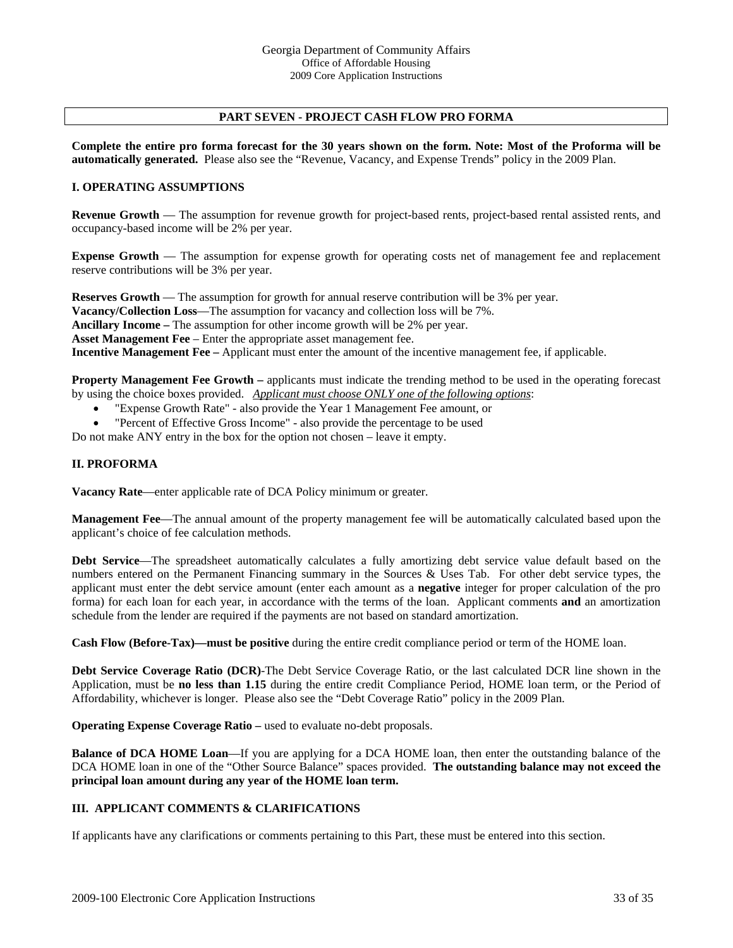# **PART SEVEN - PROJECT CASH FLOW PRO FORMA**

**Complete the entire pro forma forecast for the 30 years shown on the form. Note: Most of the Proforma will be automatically generated.** Please also see the "Revenue, Vacancy, and Expense Trends" policy in the 2009 Plan.

# **I. OPERATING ASSUMPTIONS**

**Revenue Growth** — The assumption for revenue growth for project-based rents, project-based rental assisted rents, and occupancy-based income will be 2% per year.

**Expense Growth** — The assumption for expense growth for operating costs net of management fee and replacement reserve contributions will be 3% per year.

**Reserves Growth** — The assumption for growth for annual reserve contribution will be 3% per year. **Vacancy/Collection Loss**—The assumption for vacancy and collection loss will be 7%. **Ancillary Income –** The assumption for other income growth will be 2% per year. **Asset Management Fee** – Enter the appropriate asset management fee. **Incentive Management Fee –** Applicant must enter the amount of the incentive management fee, if applicable.

**Property Management Fee Growth –** applicants must indicate the trending method to be used in the operating forecast by using the choice boxes provided. *Applicant must choose ONLY one of the following options*:

- "Expense Growth Rate" also provide the Year 1 Management Fee amount, or
- "Percent of Effective Gross Income" also provide the percentage to be used

Do not make ANY entry in the box for the option not chosen – leave it empty.

#### **II. PROFORMA**

**Vacancy Rate**—enter applicable rate of DCA Policy minimum or greater.

**Management Fee**—The annual amount of the property management fee will be automatically calculated based upon the applicant's choice of fee calculation methods.

**Debt Service**—The spreadsheet automatically calculates a fully amortizing debt service value default based on the numbers entered on the Permanent Financing summary in the Sources & Uses Tab. For other debt service types, the applicant must enter the debt service amount (enter each amount as a **negative** integer for proper calculation of the pro forma) for each loan for each year, in accordance with the terms of the loan. Applicant comments **and** an amortization schedule from the lender are required if the payments are not based on standard amortization.

**Cash Flow (Before-Tax)—must be positive** during the entire credit compliance period or term of the HOME loan.

**Debt Service Coverage Ratio (DCR)**-The Debt Service Coverage Ratio, or the last calculated DCR line shown in the Application, must be **no less than 1.15** during the entire credit Compliance Period, HOME loan term, or the Period of Affordability, whichever is longer. Please also see the "Debt Coverage Ratio" policy in the 2009 Plan.

**Operating Expense Coverage Ratio** – used to evaluate no-debt proposals.

**Balance of DCA HOME Loan**—If you are applying for a DCA HOME loan, then enter the outstanding balance of the DCA HOME loan in one of the "Other Source Balance" spaces provided. **The outstanding balance may not exceed the principal loan amount during any year of the HOME loan term.** 

# **III. APPLICANT COMMENTS & CLARIFICATIONS**

If applicants have any clarifications or comments pertaining to this Part, these must be entered into this section.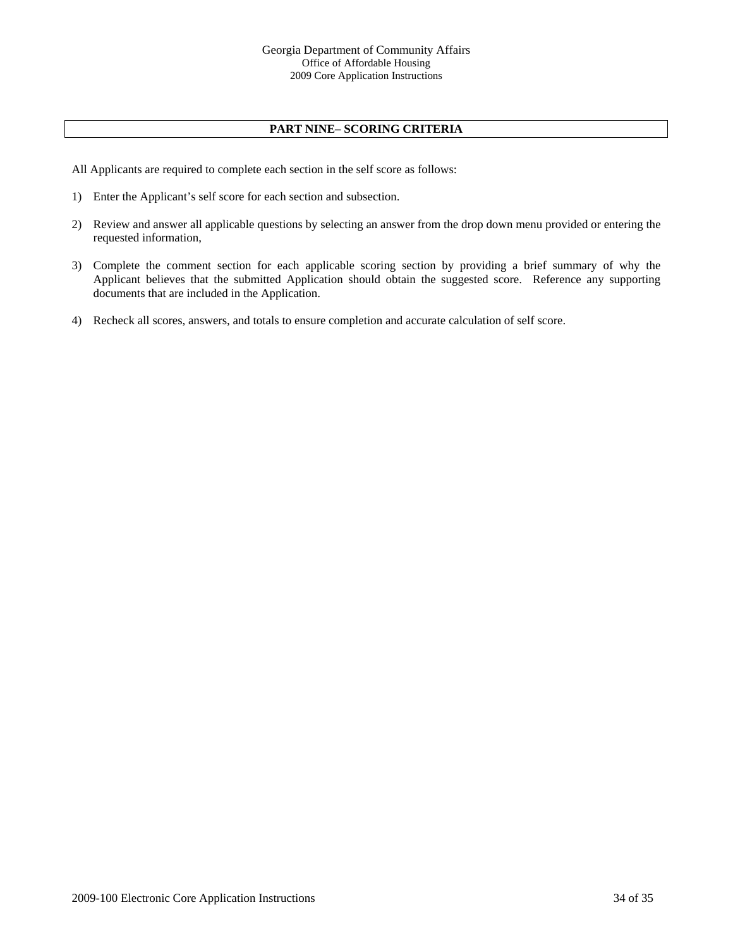# **PART NINE– SCORING CRITERIA**

All Applicants are required to complete each section in the self score as follows:

- 1) Enter the Applicant's self score for each section and subsection.
- 2) Review and answer all applicable questions by selecting an answer from the drop down menu provided or entering the requested information,
- 3) Complete the comment section for each applicable scoring section by providing a brief summary of why the Applicant believes that the submitted Application should obtain the suggested score. Reference any supporting documents that are included in the Application.
- 4) Recheck all scores, answers, and totals to ensure completion and accurate calculation of self score.